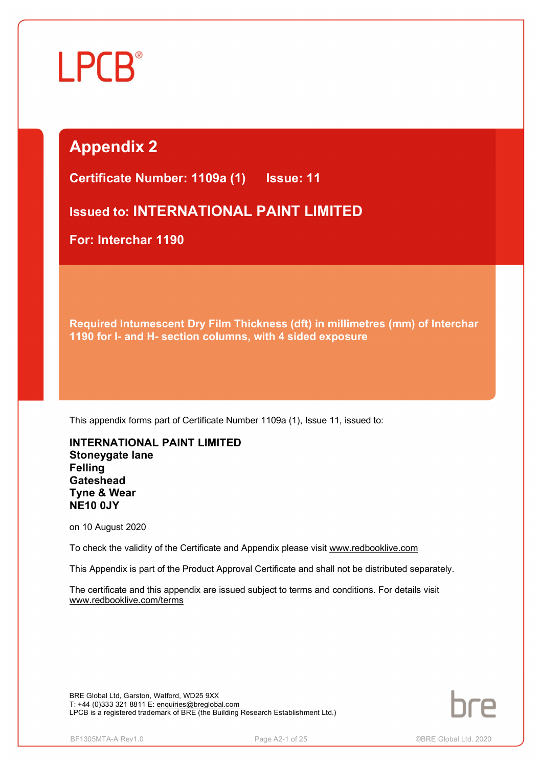# Ĩ

## **Appendix 2**

**Certificate Number: 1109a (1) Issue: 11** 

**Issued to: INTERNATIONAL PAINT LIMITED**

**For: Interchar 1190**

**Required Intumescent Dry Film Thickness (dft) in millimetres (mm) of Interchar 1190 for I- and H- section columns, with 4 sided exposure**

This appendix forms part of Certificate Number 1109a (1), Issue 11, issued to:

**INTERNATIONAL PAINT LIMITED Stoneygate lane Felling Gateshead Tyne & Wear NE10 0JY**

on 10 August 2020

To check the validity of the Certificate and Appendix please visit [www.redbooklive.com](http://www.redbooklive.com)

This Appendix is part of the Product Approval Certificate and shall not be distributed separately.

The certificate and this appendix are issued subject to terms and conditions. For details visit [www.redbooklive.com/terms](http://www.redbooklive.com/terms)

BRE Global Ltd, Garston, Watford, WD25 9XX T: +44 (0)333 321 8811 E: [enquiries@breglobal.com](mailto:enquiries@breglobal.com) LPCB is a registered trademark of BRE (the Building Research Establishment Ltd.)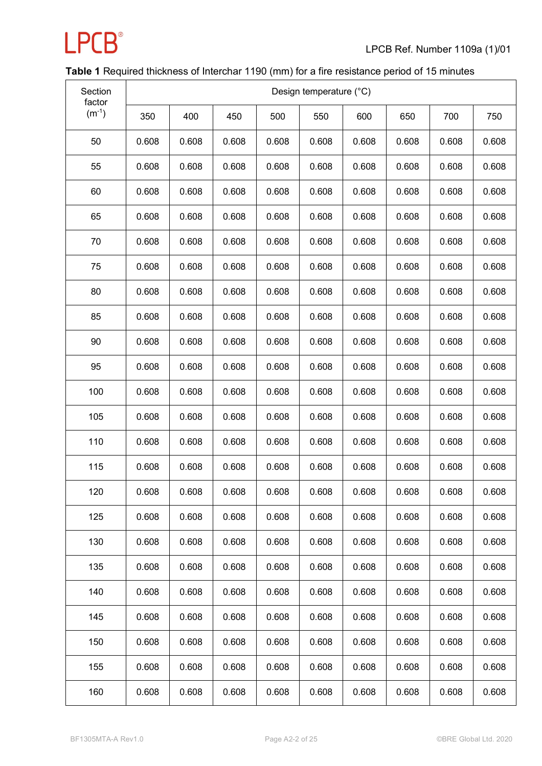

### **Table 1** Required thickness of Interchar 1190 (mm) for a fire resistance period of 15 minutes

| Section<br>factor | Design temperature (°C) |       |       |       |       |       |       |       |       |
|-------------------|-------------------------|-------|-------|-------|-------|-------|-------|-------|-------|
| $(m^{-1})$        | 350                     | 400   | 450   | 500   | 550   | 600   | 650   | 700   | 750   |
| 50                | 0.608                   | 0.608 | 0.608 | 0.608 | 0.608 | 0.608 | 0.608 | 0.608 | 0.608 |
| 55                | 0.608                   | 0.608 | 0.608 | 0.608 | 0.608 | 0.608 | 0.608 | 0.608 | 0.608 |
| 60                | 0.608                   | 0.608 | 0.608 | 0.608 | 0.608 | 0.608 | 0.608 | 0.608 | 0.608 |
| 65                | 0.608                   | 0.608 | 0.608 | 0.608 | 0.608 | 0.608 | 0.608 | 0.608 | 0.608 |
| 70                | 0.608                   | 0.608 | 0.608 | 0.608 | 0.608 | 0.608 | 0.608 | 0.608 | 0.608 |
| 75                | 0.608                   | 0.608 | 0.608 | 0.608 | 0.608 | 0.608 | 0.608 | 0.608 | 0.608 |
| 80                | 0.608                   | 0.608 | 0.608 | 0.608 | 0.608 | 0.608 | 0.608 | 0.608 | 0.608 |
| 85                | 0.608                   | 0.608 | 0.608 | 0.608 | 0.608 | 0.608 | 0.608 | 0.608 | 0.608 |
| 90                | 0.608                   | 0.608 | 0.608 | 0.608 | 0.608 | 0.608 | 0.608 | 0.608 | 0.608 |
| 95                | 0.608                   | 0.608 | 0.608 | 0.608 | 0.608 | 0.608 | 0.608 | 0.608 | 0.608 |
| 100               | 0.608                   | 0.608 | 0.608 | 0.608 | 0.608 | 0.608 | 0.608 | 0.608 | 0.608 |
| 105               | 0.608                   | 0.608 | 0.608 | 0.608 | 0.608 | 0.608 | 0.608 | 0.608 | 0.608 |
| 110               | 0.608                   | 0.608 | 0.608 | 0.608 | 0.608 | 0.608 | 0.608 | 0.608 | 0.608 |
| 115               | 0.608                   | 0.608 | 0.608 | 0.608 | 0.608 | 0.608 | 0.608 | 0.608 | 0.608 |
| 120               | 0.608                   | 0.608 | 0.608 | 0.608 | 0.608 | 0.608 | 0.608 | 0.608 | 0.608 |
| 125               | 0.608                   | 0.608 | 0.608 | 0.608 | 0.608 | 0.608 | 0.608 | 0.608 | 0.608 |
| 130               | 0.608                   | 0.608 | 0.608 | 0.608 | 0.608 | 0.608 | 0.608 | 0.608 | 0.608 |
| 135               | 0.608                   | 0.608 | 0.608 | 0.608 | 0.608 | 0.608 | 0.608 | 0.608 | 0.608 |
| 140               | 0.608                   | 0.608 | 0.608 | 0.608 | 0.608 | 0.608 | 0.608 | 0.608 | 0.608 |
| 145               | 0.608                   | 0.608 | 0.608 | 0.608 | 0.608 | 0.608 | 0.608 | 0.608 | 0.608 |
| 150               | 0.608                   | 0.608 | 0.608 | 0.608 | 0.608 | 0.608 | 0.608 | 0.608 | 0.608 |
| 155               | 0.608                   | 0.608 | 0.608 | 0.608 | 0.608 | 0.608 | 0.608 | 0.608 | 0.608 |
| 160               | 0.608                   | 0.608 | 0.608 | 0.608 | 0.608 | 0.608 | 0.608 | 0.608 | 0.608 |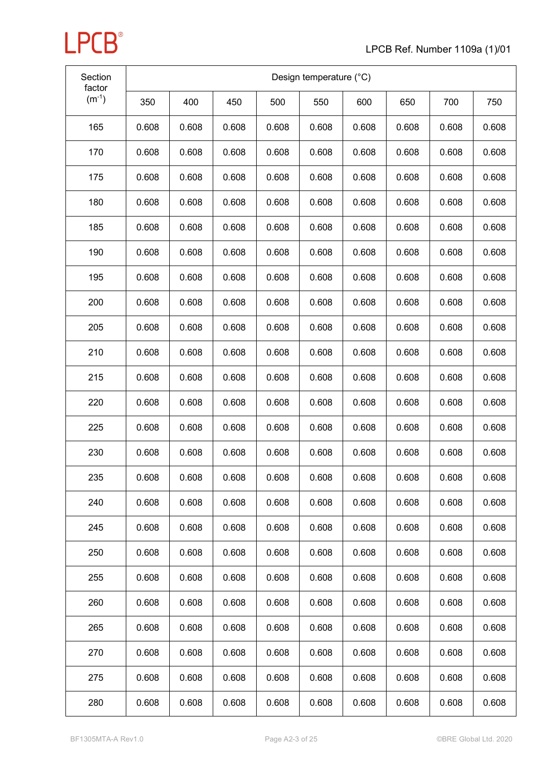

| Section<br>factor | Design temperature (°C) |       |       |       |       |       |       |       |       |
|-------------------|-------------------------|-------|-------|-------|-------|-------|-------|-------|-------|
| $(m^{-1})$        | 350                     | 400   | 450   | 500   | 550   | 600   | 650   | 700   | 750   |
| 165               | 0.608                   | 0.608 | 0.608 | 0.608 | 0.608 | 0.608 | 0.608 | 0.608 | 0.608 |
| 170               | 0.608                   | 0.608 | 0.608 | 0.608 | 0.608 | 0.608 | 0.608 | 0.608 | 0.608 |
| 175               | 0.608                   | 0.608 | 0.608 | 0.608 | 0.608 | 0.608 | 0.608 | 0.608 | 0.608 |
| 180               | 0.608                   | 0.608 | 0.608 | 0.608 | 0.608 | 0.608 | 0.608 | 0.608 | 0.608 |
| 185               | 0.608                   | 0.608 | 0.608 | 0.608 | 0.608 | 0.608 | 0.608 | 0.608 | 0.608 |
| 190               | 0.608                   | 0.608 | 0.608 | 0.608 | 0.608 | 0.608 | 0.608 | 0.608 | 0.608 |
| 195               | 0.608                   | 0.608 | 0.608 | 0.608 | 0.608 | 0.608 | 0.608 | 0.608 | 0.608 |
| 200               | 0.608                   | 0.608 | 0.608 | 0.608 | 0.608 | 0.608 | 0.608 | 0.608 | 0.608 |
| 205               | 0.608                   | 0.608 | 0.608 | 0.608 | 0.608 | 0.608 | 0.608 | 0.608 | 0.608 |
| 210               | 0.608                   | 0.608 | 0.608 | 0.608 | 0.608 | 0.608 | 0.608 | 0.608 | 0.608 |
| 215               | 0.608                   | 0.608 | 0.608 | 0.608 | 0.608 | 0.608 | 0.608 | 0.608 | 0.608 |
| 220               | 0.608                   | 0.608 | 0.608 | 0.608 | 0.608 | 0.608 | 0.608 | 0.608 | 0.608 |
| 225               | 0.608                   | 0.608 | 0.608 | 0.608 | 0.608 | 0.608 | 0.608 | 0.608 | 0.608 |
| 230               | 0.608                   | 0.608 | 0.608 | 0.608 | 0.608 | 0.608 | 0.608 | 0.608 | 0.608 |
| 235               | 0.608                   | 0.608 | 0.608 | 0.608 | 0.608 | 0.608 | 0.608 | 0.608 | 0.608 |
| 240               | 0.608                   | 0.608 | 0.608 | 0.608 | 0.608 | 0.608 | 0.608 | 0.608 | 0.608 |
| 245               | 0.608                   | 0.608 | 0.608 | 0.608 | 0.608 | 0.608 | 0.608 | 0.608 | 0.608 |
| 250               | 0.608                   | 0.608 | 0.608 | 0.608 | 0.608 | 0.608 | 0.608 | 0.608 | 0.608 |
| 255               | 0.608                   | 0.608 | 0.608 | 0.608 | 0.608 | 0.608 | 0.608 | 0.608 | 0.608 |
| 260               | 0.608                   | 0.608 | 0.608 | 0.608 | 0.608 | 0.608 | 0.608 | 0.608 | 0.608 |
| 265               | 0.608                   | 0.608 | 0.608 | 0.608 | 0.608 | 0.608 | 0.608 | 0.608 | 0.608 |
| 270               | 0.608                   | 0.608 | 0.608 | 0.608 | 0.608 | 0.608 | 0.608 | 0.608 | 0.608 |
| 275               | 0.608                   | 0.608 | 0.608 | 0.608 | 0.608 | 0.608 | 0.608 | 0.608 | 0.608 |
| 280               | 0.608                   | 0.608 | 0.608 | 0.608 | 0.608 | 0.608 | 0.608 | 0.608 | 0.608 |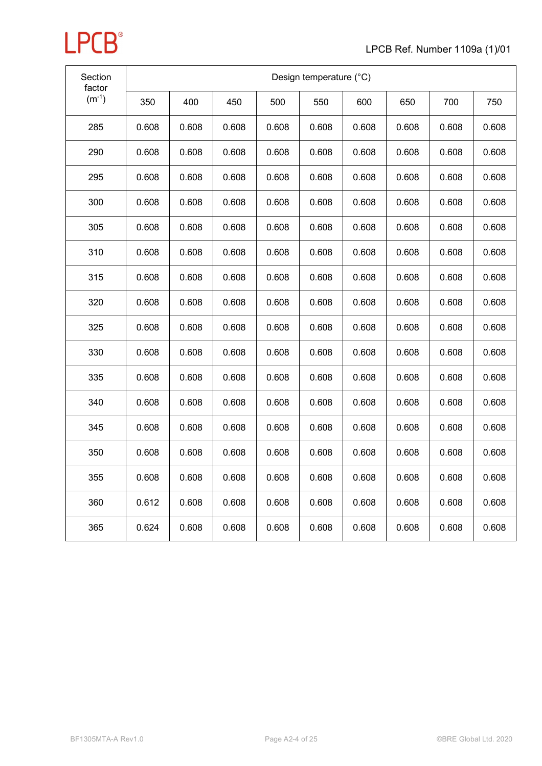

| Section<br>factor |       | Design temperature (°C) |       |       |       |       |       |       |       |
|-------------------|-------|-------------------------|-------|-------|-------|-------|-------|-------|-------|
| $(m^{-1})$        | 350   | 400                     | 450   | 500   | 550   | 600   | 650   | 700   | 750   |
| 285               | 0.608 | 0.608                   | 0.608 | 0.608 | 0.608 | 0.608 | 0.608 | 0.608 | 0.608 |
| 290               | 0.608 | 0.608                   | 0.608 | 0.608 | 0.608 | 0.608 | 0.608 | 0.608 | 0.608 |
| 295               | 0.608 | 0.608                   | 0.608 | 0.608 | 0.608 | 0.608 | 0.608 | 0.608 | 0.608 |
| 300               | 0.608 | 0.608                   | 0.608 | 0.608 | 0.608 | 0.608 | 0.608 | 0.608 | 0.608 |
| 305               | 0.608 | 0.608                   | 0.608 | 0.608 | 0.608 | 0.608 | 0.608 | 0.608 | 0.608 |
| 310               | 0.608 | 0.608                   | 0.608 | 0.608 | 0.608 | 0.608 | 0.608 | 0.608 | 0.608 |
| 315               | 0.608 | 0.608                   | 0.608 | 0.608 | 0.608 | 0.608 | 0.608 | 0.608 | 0.608 |
| 320               | 0.608 | 0.608                   | 0.608 | 0.608 | 0.608 | 0.608 | 0.608 | 0.608 | 0.608 |
| 325               | 0.608 | 0.608                   | 0.608 | 0.608 | 0.608 | 0.608 | 0.608 | 0.608 | 0.608 |
| 330               | 0.608 | 0.608                   | 0.608 | 0.608 | 0.608 | 0.608 | 0.608 | 0.608 | 0.608 |
| 335               | 0.608 | 0.608                   | 0.608 | 0.608 | 0.608 | 0.608 | 0.608 | 0.608 | 0.608 |
| 340               | 0.608 | 0.608                   | 0.608 | 0.608 | 0.608 | 0.608 | 0.608 | 0.608 | 0.608 |
| 345               | 0.608 | 0.608                   | 0.608 | 0.608 | 0.608 | 0.608 | 0.608 | 0.608 | 0.608 |
| 350               | 0.608 | 0.608                   | 0.608 | 0.608 | 0.608 | 0.608 | 0.608 | 0.608 | 0.608 |
| 355               | 0.608 | 0.608                   | 0.608 | 0.608 | 0.608 | 0.608 | 0.608 | 0.608 | 0.608 |
| 360               | 0.612 | 0.608                   | 0.608 | 0.608 | 0.608 | 0.608 | 0.608 | 0.608 | 0.608 |
| 365               | 0.624 | 0.608                   | 0.608 | 0.608 | 0.608 | 0.608 | 0.608 | 0.608 | 0.608 |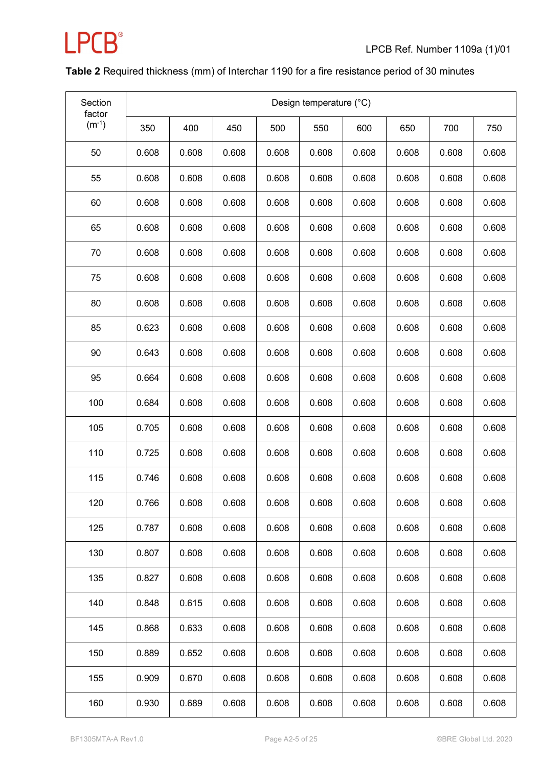

### **Table 2** Required thickness (mm) of Interchar 1190 for a fire resistance period of 30 minutes

| Section<br>factor | Design temperature (°C) |       |       |       |       |       |       |       |       |
|-------------------|-------------------------|-------|-------|-------|-------|-------|-------|-------|-------|
| $(m^{-1})$        | 350                     | 400   | 450   | 500   | 550   | 600   | 650   | 700   | 750   |
| 50                | 0.608                   | 0.608 | 0.608 | 0.608 | 0.608 | 0.608 | 0.608 | 0.608 | 0.608 |
| 55                | 0.608                   | 0.608 | 0.608 | 0.608 | 0.608 | 0.608 | 0.608 | 0.608 | 0.608 |
| 60                | 0.608                   | 0.608 | 0.608 | 0.608 | 0.608 | 0.608 | 0.608 | 0.608 | 0.608 |
| 65                | 0.608                   | 0.608 | 0.608 | 0.608 | 0.608 | 0.608 | 0.608 | 0.608 | 0.608 |
| 70                | 0.608                   | 0.608 | 0.608 | 0.608 | 0.608 | 0.608 | 0.608 | 0.608 | 0.608 |
| 75                | 0.608                   | 0.608 | 0.608 | 0.608 | 0.608 | 0.608 | 0.608 | 0.608 | 0.608 |
| 80                | 0.608                   | 0.608 | 0.608 | 0.608 | 0.608 | 0.608 | 0.608 | 0.608 | 0.608 |
| 85                | 0.623                   | 0.608 | 0.608 | 0.608 | 0.608 | 0.608 | 0.608 | 0.608 | 0.608 |
| 90                | 0.643                   | 0.608 | 0.608 | 0.608 | 0.608 | 0.608 | 0.608 | 0.608 | 0.608 |
| 95                | 0.664                   | 0.608 | 0.608 | 0.608 | 0.608 | 0.608 | 0.608 | 0.608 | 0.608 |
| 100               | 0.684                   | 0.608 | 0.608 | 0.608 | 0.608 | 0.608 | 0.608 | 0.608 | 0.608 |
| 105               | 0.705                   | 0.608 | 0.608 | 0.608 | 0.608 | 0.608 | 0.608 | 0.608 | 0.608 |
| 110               | 0.725                   | 0.608 | 0.608 | 0.608 | 0.608 | 0.608 | 0.608 | 0.608 | 0.608 |
| 115               | 0.746                   | 0.608 | 0.608 | 0.608 | 0.608 | 0.608 | 0.608 | 0.608 | 0.608 |
| 120               | 0.766                   | 0.608 | 0.608 | 0.608 | 0.608 | 0.608 | 0.608 | 0.608 | 0.608 |
| 125               | 0.787                   | 0.608 | 0.608 | 0.608 | 0.608 | 0.608 | 0.608 | 0.608 | 0.608 |
| 130               | 0.807                   | 0.608 | 0.608 | 0.608 | 0.608 | 0.608 | 0.608 | 0.608 | 0.608 |
| 135               | 0.827                   | 0.608 | 0.608 | 0.608 | 0.608 | 0.608 | 0.608 | 0.608 | 0.608 |
| 140               | 0.848                   | 0.615 | 0.608 | 0.608 | 0.608 | 0.608 | 0.608 | 0.608 | 0.608 |
| 145               | 0.868                   | 0.633 | 0.608 | 0.608 | 0.608 | 0.608 | 0.608 | 0.608 | 0.608 |
| 150               | 0.889                   | 0.652 | 0.608 | 0.608 | 0.608 | 0.608 | 0.608 | 0.608 | 0.608 |
| 155               | 0.909                   | 0.670 | 0.608 | 0.608 | 0.608 | 0.608 | 0.608 | 0.608 | 0.608 |
| 160               | 0.930                   | 0.689 | 0.608 | 0.608 | 0.608 | 0.608 | 0.608 | 0.608 | 0.608 |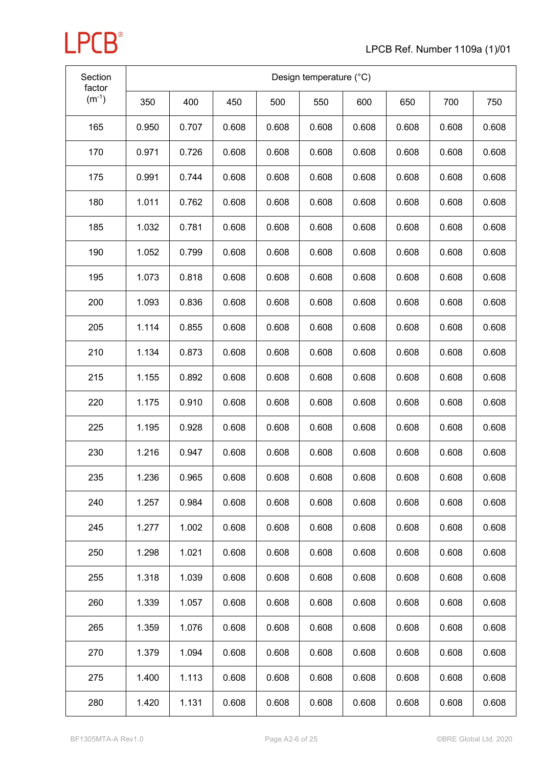

| Section<br>factor | Design temperature (°C) |       |       |       |       |       |       |       |       |
|-------------------|-------------------------|-------|-------|-------|-------|-------|-------|-------|-------|
| $(m^{-1})$        | 350                     | 400   | 450   | 500   | 550   | 600   | 650   | 700   | 750   |
| 165               | 0.950                   | 0.707 | 0.608 | 0.608 | 0.608 | 0.608 | 0.608 | 0.608 | 0.608 |
| 170               | 0.971                   | 0.726 | 0.608 | 0.608 | 0.608 | 0.608 | 0.608 | 0.608 | 0.608 |
| 175               | 0.991                   | 0.744 | 0.608 | 0.608 | 0.608 | 0.608 | 0.608 | 0.608 | 0.608 |
| 180               | 1.011                   | 0.762 | 0.608 | 0.608 | 0.608 | 0.608 | 0.608 | 0.608 | 0.608 |
| 185               | 1.032                   | 0.781 | 0.608 | 0.608 | 0.608 | 0.608 | 0.608 | 0.608 | 0.608 |
| 190               | 1.052                   | 0.799 | 0.608 | 0.608 | 0.608 | 0.608 | 0.608 | 0.608 | 0.608 |
| 195               | 1.073                   | 0.818 | 0.608 | 0.608 | 0.608 | 0.608 | 0.608 | 0.608 | 0.608 |
| 200               | 1.093                   | 0.836 | 0.608 | 0.608 | 0.608 | 0.608 | 0.608 | 0.608 | 0.608 |
| 205               | 1.114                   | 0.855 | 0.608 | 0.608 | 0.608 | 0.608 | 0.608 | 0.608 | 0.608 |
| 210               | 1.134                   | 0.873 | 0.608 | 0.608 | 0.608 | 0.608 | 0.608 | 0.608 | 0.608 |
| 215               | 1.155                   | 0.892 | 0.608 | 0.608 | 0.608 | 0.608 | 0.608 | 0.608 | 0.608 |
| 220               | 1.175                   | 0.910 | 0.608 | 0.608 | 0.608 | 0.608 | 0.608 | 0.608 | 0.608 |
| 225               | 1.195                   | 0.928 | 0.608 | 0.608 | 0.608 | 0.608 | 0.608 | 0.608 | 0.608 |
| 230               | 1.216                   | 0.947 | 0.608 | 0.608 | 0.608 | 0.608 | 0.608 | 0.608 | 0.608 |
| 235               | 1.236                   | 0.965 | 0.608 | 0.608 | 0.608 | 0.608 | 0.608 | 0.608 | 0.608 |
| 240               | 1.257                   | 0.984 | 0.608 | 0.608 | 0.608 | 0.608 | 0.608 | 0.608 | 0.608 |
| 245               | 1.277                   | 1.002 | 0.608 | 0.608 | 0.608 | 0.608 | 0.608 | 0.608 | 0.608 |
| 250               | 1.298                   | 1.021 | 0.608 | 0.608 | 0.608 | 0.608 | 0.608 | 0.608 | 0.608 |
| 255               | 1.318                   | 1.039 | 0.608 | 0.608 | 0.608 | 0.608 | 0.608 | 0.608 | 0.608 |
| 260               | 1.339                   | 1.057 | 0.608 | 0.608 | 0.608 | 0.608 | 0.608 | 0.608 | 0.608 |
| 265               | 1.359                   | 1.076 | 0.608 | 0.608 | 0.608 | 0.608 | 0.608 | 0.608 | 0.608 |
| 270               | 1.379                   | 1.094 | 0.608 | 0.608 | 0.608 | 0.608 | 0.608 | 0.608 | 0.608 |
| 275               | 1.400                   | 1.113 | 0.608 | 0.608 | 0.608 | 0.608 | 0.608 | 0.608 | 0.608 |
| 280               | 1.420                   | 1.131 | 0.608 | 0.608 | 0.608 | 0.608 | 0.608 | 0.608 | 0.608 |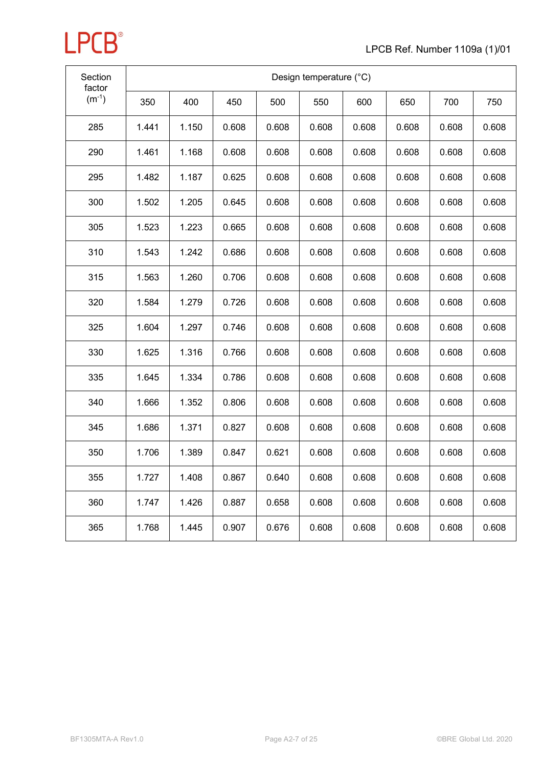

| Section<br>factor | Design temperature (°C) |       |       |       |       |       |       |       |       |  |  |
|-------------------|-------------------------|-------|-------|-------|-------|-------|-------|-------|-------|--|--|
| $(m^{-1})$        | 350                     | 400   | 450   | 500   | 550   | 600   | 650   | 700   | 750   |  |  |
| 285               | 1.441                   | 1.150 | 0.608 | 0.608 | 0.608 | 0.608 | 0.608 | 0.608 | 0.608 |  |  |
| 290               | 1.461                   | 1.168 | 0.608 | 0.608 | 0.608 | 0.608 | 0.608 | 0.608 | 0.608 |  |  |
| 295               | 1.482                   | 1.187 | 0.625 | 0.608 | 0.608 | 0.608 | 0.608 | 0.608 | 0.608 |  |  |
| 300               | 1.502                   | 1.205 | 0.645 | 0.608 | 0.608 | 0.608 | 0.608 | 0.608 | 0.608 |  |  |
| 305               | 1.523                   | 1.223 | 0.665 | 0.608 | 0.608 | 0.608 | 0.608 | 0.608 | 0.608 |  |  |
| 310               | 1.543                   | 1.242 | 0.686 | 0.608 | 0.608 | 0.608 | 0.608 | 0.608 | 0.608 |  |  |
| 315               | 1.563                   | 1.260 | 0.706 | 0.608 | 0.608 | 0.608 | 0.608 | 0.608 | 0.608 |  |  |
| 320               | 1.584                   | 1.279 | 0.726 | 0.608 | 0.608 | 0.608 | 0.608 | 0.608 | 0.608 |  |  |
| 325               | 1.604                   | 1.297 | 0.746 | 0.608 | 0.608 | 0.608 | 0.608 | 0.608 | 0.608 |  |  |
| 330               | 1.625                   | 1.316 | 0.766 | 0.608 | 0.608 | 0.608 | 0.608 | 0.608 | 0.608 |  |  |
| 335               | 1.645                   | 1.334 | 0.786 | 0.608 | 0.608 | 0.608 | 0.608 | 0.608 | 0.608 |  |  |
| 340               | 1.666                   | 1.352 | 0.806 | 0.608 | 0.608 | 0.608 | 0.608 | 0.608 | 0.608 |  |  |
| 345               | 1.686                   | 1.371 | 0.827 | 0.608 | 0.608 | 0.608 | 0.608 | 0.608 | 0.608 |  |  |
| 350               | 1.706                   | 1.389 | 0.847 | 0.621 | 0.608 | 0.608 | 0.608 | 0.608 | 0.608 |  |  |
| 355               | 1.727                   | 1.408 | 0.867 | 0.640 | 0.608 | 0.608 | 0.608 | 0.608 | 0.608 |  |  |
| 360               | 1.747                   | 1.426 | 0.887 | 0.658 | 0.608 | 0.608 | 0.608 | 0.608 | 0.608 |  |  |
| 365               | 1.768                   | 1.445 | 0.907 | 0.676 | 0.608 | 0.608 | 0.608 | 0.608 | 0.608 |  |  |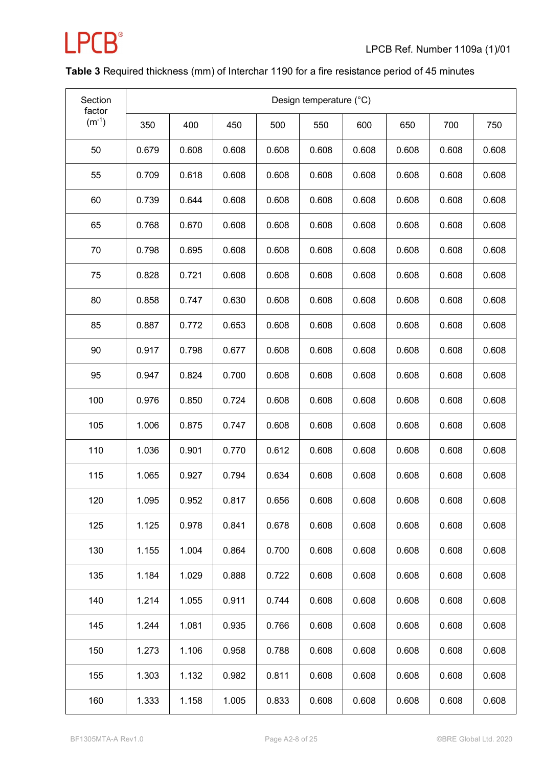

### **Table 3** Required thickness (mm) of Interchar 1190 for a fire resistance period of 45 minutes

| Section<br>factor | Design temperature (°C) |       |       |       |       |       |       |       |       |
|-------------------|-------------------------|-------|-------|-------|-------|-------|-------|-------|-------|
| $(m^{-1})$        | 350                     | 400   | 450   | 500   | 550   | 600   | 650   | 700   | 750   |
| 50                | 0.679                   | 0.608 | 0.608 | 0.608 | 0.608 | 0.608 | 0.608 | 0.608 | 0.608 |
| 55                | 0.709                   | 0.618 | 0.608 | 0.608 | 0.608 | 0.608 | 0.608 | 0.608 | 0.608 |
| 60                | 0.739                   | 0.644 | 0.608 | 0.608 | 0.608 | 0.608 | 0.608 | 0.608 | 0.608 |
| 65                | 0.768                   | 0.670 | 0.608 | 0.608 | 0.608 | 0.608 | 0.608 | 0.608 | 0.608 |
| 70                | 0.798                   | 0.695 | 0.608 | 0.608 | 0.608 | 0.608 | 0.608 | 0.608 | 0.608 |
| 75                | 0.828                   | 0.721 | 0.608 | 0.608 | 0.608 | 0.608 | 0.608 | 0.608 | 0.608 |
| 80                | 0.858                   | 0.747 | 0.630 | 0.608 | 0.608 | 0.608 | 0.608 | 0.608 | 0.608 |
| 85                | 0.887                   | 0.772 | 0.653 | 0.608 | 0.608 | 0.608 | 0.608 | 0.608 | 0.608 |
| 90                | 0.917                   | 0.798 | 0.677 | 0.608 | 0.608 | 0.608 | 0.608 | 0.608 | 0.608 |
| 95                | 0.947                   | 0.824 | 0.700 | 0.608 | 0.608 | 0.608 | 0.608 | 0.608 | 0.608 |
| 100               | 0.976                   | 0.850 | 0.724 | 0.608 | 0.608 | 0.608 | 0.608 | 0.608 | 0.608 |
| 105               | 1.006                   | 0.875 | 0.747 | 0.608 | 0.608 | 0.608 | 0.608 | 0.608 | 0.608 |
| 110               | 1.036                   | 0.901 | 0.770 | 0.612 | 0.608 | 0.608 | 0.608 | 0.608 | 0.608 |
| 115               | 1.065                   | 0.927 | 0.794 | 0.634 | 0.608 | 0.608 | 0.608 | 0.608 | 0.608 |
| 120               | 1.095                   | 0.952 | 0.817 | 0.656 | 0.608 | 0.608 | 0.608 | 0.608 | 0.608 |
| 125               | 1.125                   | 0.978 | 0.841 | 0.678 | 0.608 | 0.608 | 0.608 | 0.608 | 0.608 |
| 130               | 1.155                   | 1.004 | 0.864 | 0.700 | 0.608 | 0.608 | 0.608 | 0.608 | 0.608 |
| 135               | 1.184                   | 1.029 | 0.888 | 0.722 | 0.608 | 0.608 | 0.608 | 0.608 | 0.608 |
| 140               | 1.214                   | 1.055 | 0.911 | 0.744 | 0.608 | 0.608 | 0.608 | 0.608 | 0.608 |
| 145               | 1.244                   | 1.081 | 0.935 | 0.766 | 0.608 | 0.608 | 0.608 | 0.608 | 0.608 |
| 150               | 1.273                   | 1.106 | 0.958 | 0.788 | 0.608 | 0.608 | 0.608 | 0.608 | 0.608 |
| 155               | 1.303                   | 1.132 | 0.982 | 0.811 | 0.608 | 0.608 | 0.608 | 0.608 | 0.608 |
| 160               | 1.333                   | 1.158 | 1.005 | 0.833 | 0.608 | 0.608 | 0.608 | 0.608 | 0.608 |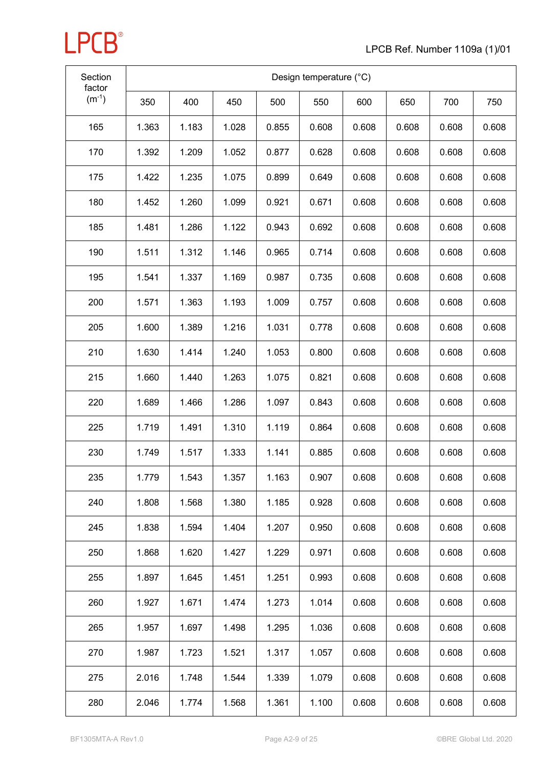| Section<br>factor | Design temperature (°C) |       |       |       |       |       |       |       |       |
|-------------------|-------------------------|-------|-------|-------|-------|-------|-------|-------|-------|
| $(m^{-1})$        | 350                     | 400   | 450   | 500   | 550   | 600   | 650   | 700   | 750   |
| 165               | 1.363                   | 1.183 | 1.028 | 0.855 | 0.608 | 0.608 | 0.608 | 0.608 | 0.608 |
| 170               | 1.392                   | 1.209 | 1.052 | 0.877 | 0.628 | 0.608 | 0.608 | 0.608 | 0.608 |
| 175               | 1.422                   | 1.235 | 1.075 | 0.899 | 0.649 | 0.608 | 0.608 | 0.608 | 0.608 |
| 180               | 1.452                   | 1.260 | 1.099 | 0.921 | 0.671 | 0.608 | 0.608 | 0.608 | 0.608 |
| 185               | 1.481                   | 1.286 | 1.122 | 0.943 | 0.692 | 0.608 | 0.608 | 0.608 | 0.608 |
| 190               | 1.511                   | 1.312 | 1.146 | 0.965 | 0.714 | 0.608 | 0.608 | 0.608 | 0.608 |
| 195               | 1.541                   | 1.337 | 1.169 | 0.987 | 0.735 | 0.608 | 0.608 | 0.608 | 0.608 |
| 200               | 1.571                   | 1.363 | 1.193 | 1.009 | 0.757 | 0.608 | 0.608 | 0.608 | 0.608 |
| 205               | 1.600                   | 1.389 | 1.216 | 1.031 | 0.778 | 0.608 | 0.608 | 0.608 | 0.608 |
| 210               | 1.630                   | 1.414 | 1.240 | 1.053 | 0.800 | 0.608 | 0.608 | 0.608 | 0.608 |
| 215               | 1.660                   | 1.440 | 1.263 | 1.075 | 0.821 | 0.608 | 0.608 | 0.608 | 0.608 |
| 220               | 1.689                   | 1.466 | 1.286 | 1.097 | 0.843 | 0.608 | 0.608 | 0.608 | 0.608 |
| 225               | 1.719                   | 1.491 | 1.310 | 1.119 | 0.864 | 0.608 | 0.608 | 0.608 | 0.608 |
| 230               | 1.749                   | 1.517 | 1.333 | 1.141 | 0.885 | 0.608 | 0.608 | 0.608 | 0.608 |
| 235               | 1.779                   | 1.543 | 1.357 | 1.163 | 0.907 | 0.608 | 0.608 | 0.608 | 0.608 |
| 240               | 1.808                   | 1.568 | 1.380 | 1.185 | 0.928 | 0.608 | 0.608 | 0.608 | 0.608 |
| 245               | 1.838                   | 1.594 | 1.404 | 1.207 | 0.950 | 0.608 | 0.608 | 0.608 | 0.608 |
| 250               | 1.868                   | 1.620 | 1.427 | 1.229 | 0.971 | 0.608 | 0.608 | 0.608 | 0.608 |
| 255               | 1.897                   | 1.645 | 1.451 | 1.251 | 0.993 | 0.608 | 0.608 | 0.608 | 0.608 |
| 260               | 1.927                   | 1.671 | 1.474 | 1.273 | 1.014 | 0.608 | 0.608 | 0.608 | 0.608 |
| 265               | 1.957                   | 1.697 | 1.498 | 1.295 | 1.036 | 0.608 | 0.608 | 0.608 | 0.608 |
| 270               | 1.987                   | 1.723 | 1.521 | 1.317 | 1.057 | 0.608 | 0.608 | 0.608 | 0.608 |
| 275               | 2.016                   | 1.748 | 1.544 | 1.339 | 1.079 | 0.608 | 0.608 | 0.608 | 0.608 |
| 280               | 2.046                   | 1.774 | 1.568 | 1.361 | 1.100 | 0.608 | 0.608 | 0.608 | 0.608 |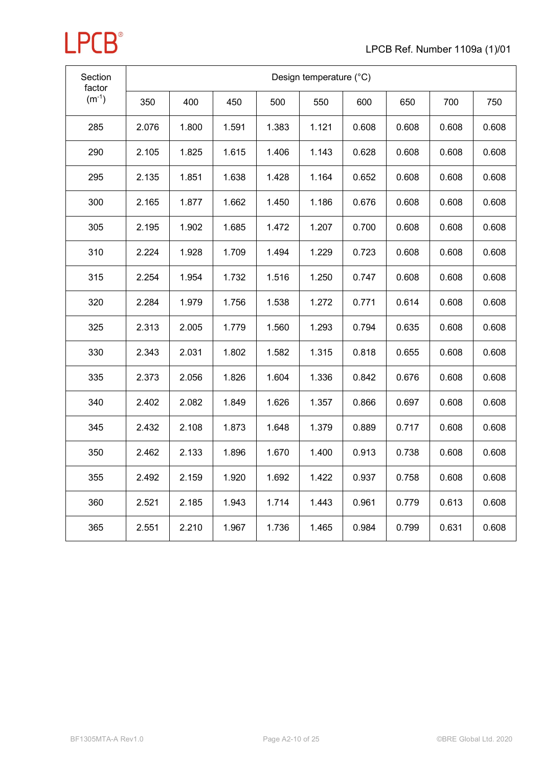

| Section<br>factor | Design temperature (°C) |       |       |       |       |       |       |       |       |  |  |
|-------------------|-------------------------|-------|-------|-------|-------|-------|-------|-------|-------|--|--|
| $(m^{-1})$        | 350                     | 400   | 450   | 500   | 550   | 600   | 650   | 700   | 750   |  |  |
| 285               | 2.076                   | 1.800 | 1.591 | 1.383 | 1.121 | 0.608 | 0.608 | 0.608 | 0.608 |  |  |
| 290               | 2.105                   | 1.825 | 1.615 | 1.406 | 1.143 | 0.628 | 0.608 | 0.608 | 0.608 |  |  |
| 295               | 2.135                   | 1.851 | 1.638 | 1.428 | 1.164 | 0.652 | 0.608 | 0.608 | 0.608 |  |  |
| 300               | 2.165                   | 1.877 | 1.662 | 1.450 | 1.186 | 0.676 | 0.608 | 0.608 | 0.608 |  |  |
| 305               | 2.195                   | 1.902 | 1.685 | 1.472 | 1.207 | 0.700 | 0.608 | 0.608 | 0.608 |  |  |
| 310               | 2.224                   | 1.928 | 1.709 | 1.494 | 1.229 | 0.723 | 0.608 | 0.608 | 0.608 |  |  |
| 315               | 2.254                   | 1.954 | 1.732 | 1.516 | 1.250 | 0.747 | 0.608 | 0.608 | 0.608 |  |  |
| 320               | 2.284                   | 1.979 | 1.756 | 1.538 | 1.272 | 0.771 | 0.614 | 0.608 | 0.608 |  |  |
| 325               | 2.313                   | 2.005 | 1.779 | 1.560 | 1.293 | 0.794 | 0.635 | 0.608 | 0.608 |  |  |
| 330               | 2.343                   | 2.031 | 1.802 | 1.582 | 1.315 | 0.818 | 0.655 | 0.608 | 0.608 |  |  |
| 335               | 2.373                   | 2.056 | 1.826 | 1.604 | 1.336 | 0.842 | 0.676 | 0.608 | 0.608 |  |  |
| 340               | 2.402                   | 2.082 | 1.849 | 1.626 | 1.357 | 0.866 | 0.697 | 0.608 | 0.608 |  |  |
| 345               | 2.432                   | 2.108 | 1.873 | 1.648 | 1.379 | 0.889 | 0.717 | 0.608 | 0.608 |  |  |
| 350               | 2.462                   | 2.133 | 1.896 | 1.670 | 1.400 | 0.913 | 0.738 | 0.608 | 0.608 |  |  |
| 355               | 2.492                   | 2.159 | 1.920 | 1.692 | 1.422 | 0.937 | 0.758 | 0.608 | 0.608 |  |  |
| 360               | 2.521                   | 2.185 | 1.943 | 1.714 | 1.443 | 0.961 | 0.779 | 0.613 | 0.608 |  |  |
| 365               | 2.551                   | 2.210 | 1.967 | 1.736 | 1.465 | 0.984 | 0.799 | 0.631 | 0.608 |  |  |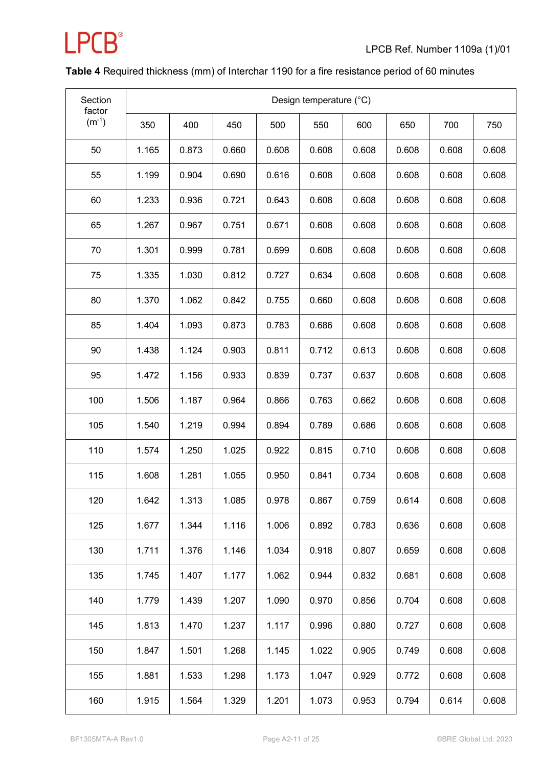

### **Table 4** Required thickness (mm) of Interchar 1190 for a fire resistance period of 60 minutes

| Section<br>factor | Design temperature (°C) |       |       |       |       |       |       |       |       |
|-------------------|-------------------------|-------|-------|-------|-------|-------|-------|-------|-------|
| $(m^{-1})$        | 350                     | 400   | 450   | 500   | 550   | 600   | 650   | 700   | 750   |
| 50                | 1.165                   | 0.873 | 0.660 | 0.608 | 0.608 | 0.608 | 0.608 | 0.608 | 0.608 |
| 55                | 1.199                   | 0.904 | 0.690 | 0.616 | 0.608 | 0.608 | 0.608 | 0.608 | 0.608 |
| 60                | 1.233                   | 0.936 | 0.721 | 0.643 | 0.608 | 0.608 | 0.608 | 0.608 | 0.608 |
| 65                | 1.267                   | 0.967 | 0.751 | 0.671 | 0.608 | 0.608 | 0.608 | 0.608 | 0.608 |
| 70                | 1.301                   | 0.999 | 0.781 | 0.699 | 0.608 | 0.608 | 0.608 | 0.608 | 0.608 |
| 75                | 1.335                   | 1.030 | 0.812 | 0.727 | 0.634 | 0.608 | 0.608 | 0.608 | 0.608 |
| 80                | 1.370                   | 1.062 | 0.842 | 0.755 | 0.660 | 0.608 | 0.608 | 0.608 | 0.608 |
| 85                | 1.404                   | 1.093 | 0.873 | 0.783 | 0.686 | 0.608 | 0.608 | 0.608 | 0.608 |
| 90                | 1.438                   | 1.124 | 0.903 | 0.811 | 0.712 | 0.613 | 0.608 | 0.608 | 0.608 |
| 95                | 1.472                   | 1.156 | 0.933 | 0.839 | 0.737 | 0.637 | 0.608 | 0.608 | 0.608 |
| 100               | 1.506                   | 1.187 | 0.964 | 0.866 | 0.763 | 0.662 | 0.608 | 0.608 | 0.608 |
| 105               | 1.540                   | 1.219 | 0.994 | 0.894 | 0.789 | 0.686 | 0.608 | 0.608 | 0.608 |
| 110               | 1.574                   | 1.250 | 1.025 | 0.922 | 0.815 | 0.710 | 0.608 | 0.608 | 0.608 |
| 115               | 1.608                   | 1.281 | 1.055 | 0.950 | 0.841 | 0.734 | 0.608 | 0.608 | 0.608 |
| 120               | 1.642                   | 1.313 | 1.085 | 0.978 | 0.867 | 0.759 | 0.614 | 0.608 | 0.608 |
| 125               | 1.677                   | 1.344 | 1.116 | 1.006 | 0.892 | 0.783 | 0.636 | 0.608 | 0.608 |
| 130               | 1.711                   | 1.376 | 1.146 | 1.034 | 0.918 | 0.807 | 0.659 | 0.608 | 0.608 |
| 135               | 1.745                   | 1.407 | 1.177 | 1.062 | 0.944 | 0.832 | 0.681 | 0.608 | 0.608 |
| 140               | 1.779                   | 1.439 | 1.207 | 1.090 | 0.970 | 0.856 | 0.704 | 0.608 | 0.608 |
| 145               | 1.813                   | 1.470 | 1.237 | 1.117 | 0.996 | 0.880 | 0.727 | 0.608 | 0.608 |
| 150               | 1.847                   | 1.501 | 1.268 | 1.145 | 1.022 | 0.905 | 0.749 | 0.608 | 0.608 |
| 155               | 1.881                   | 1.533 | 1.298 | 1.173 | 1.047 | 0.929 | 0.772 | 0.608 | 0.608 |
| 160               | 1.915                   | 1.564 | 1.329 | 1.201 | 1.073 | 0.953 | 0.794 | 0.614 | 0.608 |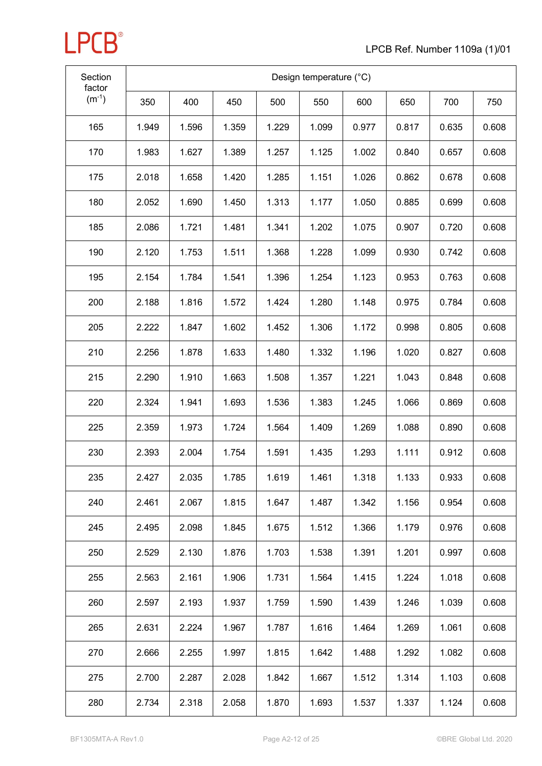

| Section<br>factor | Design temperature (°C) |       |       |       |       |       |       |       |       |
|-------------------|-------------------------|-------|-------|-------|-------|-------|-------|-------|-------|
| $(m^{-1})$        | 350                     | 400   | 450   | 500   | 550   | 600   | 650   | 700   | 750   |
| 165               | 1.949                   | 1.596 | 1.359 | 1.229 | 1.099 | 0.977 | 0.817 | 0.635 | 0.608 |
| 170               | 1.983                   | 1.627 | 1.389 | 1.257 | 1.125 | 1.002 | 0.840 | 0.657 | 0.608 |
| 175               | 2.018                   | 1.658 | 1.420 | 1.285 | 1.151 | 1.026 | 0.862 | 0.678 | 0.608 |
| 180               | 2.052                   | 1.690 | 1.450 | 1.313 | 1.177 | 1.050 | 0.885 | 0.699 | 0.608 |
| 185               | 2.086                   | 1.721 | 1.481 | 1.341 | 1.202 | 1.075 | 0.907 | 0.720 | 0.608 |
| 190               | 2.120                   | 1.753 | 1.511 | 1.368 | 1.228 | 1.099 | 0.930 | 0.742 | 0.608 |
| 195               | 2.154                   | 1.784 | 1.541 | 1.396 | 1.254 | 1.123 | 0.953 | 0.763 | 0.608 |
| 200               | 2.188                   | 1.816 | 1.572 | 1.424 | 1.280 | 1.148 | 0.975 | 0.784 | 0.608 |
| 205               | 2.222                   | 1.847 | 1.602 | 1.452 | 1.306 | 1.172 | 0.998 | 0.805 | 0.608 |
| 210               | 2.256                   | 1.878 | 1.633 | 1.480 | 1.332 | 1.196 | 1.020 | 0.827 | 0.608 |
| 215               | 2.290                   | 1.910 | 1.663 | 1.508 | 1.357 | 1.221 | 1.043 | 0.848 | 0.608 |
| 220               | 2.324                   | 1.941 | 1.693 | 1.536 | 1.383 | 1.245 | 1.066 | 0.869 | 0.608 |
| 225               | 2.359                   | 1.973 | 1.724 | 1.564 | 1.409 | 1.269 | 1.088 | 0.890 | 0.608 |
| 230               | 2.393                   | 2.004 | 1.754 | 1.591 | 1.435 | 1.293 | 1.111 | 0.912 | 0.608 |
| 235               | 2.427                   | 2.035 | 1.785 | 1.619 | 1.461 | 1.318 | 1.133 | 0.933 | 0.608 |
| 240               | 2.461                   | 2.067 | 1.815 | 1.647 | 1.487 | 1.342 | 1.156 | 0.954 | 0.608 |
| 245               | 2.495                   | 2.098 | 1.845 | 1.675 | 1.512 | 1.366 | 1.179 | 0.976 | 0.608 |
| 250               | 2.529                   | 2.130 | 1.876 | 1.703 | 1.538 | 1.391 | 1.201 | 0.997 | 0.608 |
| 255               | 2.563                   | 2.161 | 1.906 | 1.731 | 1.564 | 1.415 | 1.224 | 1.018 | 0.608 |
| 260               | 2.597                   | 2.193 | 1.937 | 1.759 | 1.590 | 1.439 | 1.246 | 1.039 | 0.608 |
| 265               | 2.631                   | 2.224 | 1.967 | 1.787 | 1.616 | 1.464 | 1.269 | 1.061 | 0.608 |
| 270               | 2.666                   | 2.255 | 1.997 | 1.815 | 1.642 | 1.488 | 1.292 | 1.082 | 0.608 |
| 275               | 2.700                   | 2.287 | 2.028 | 1.842 | 1.667 | 1.512 | 1.314 | 1.103 | 0.608 |
| 280               | 2.734                   | 2.318 | 2.058 | 1.870 | 1.693 | 1.537 | 1.337 | 1.124 | 0.608 |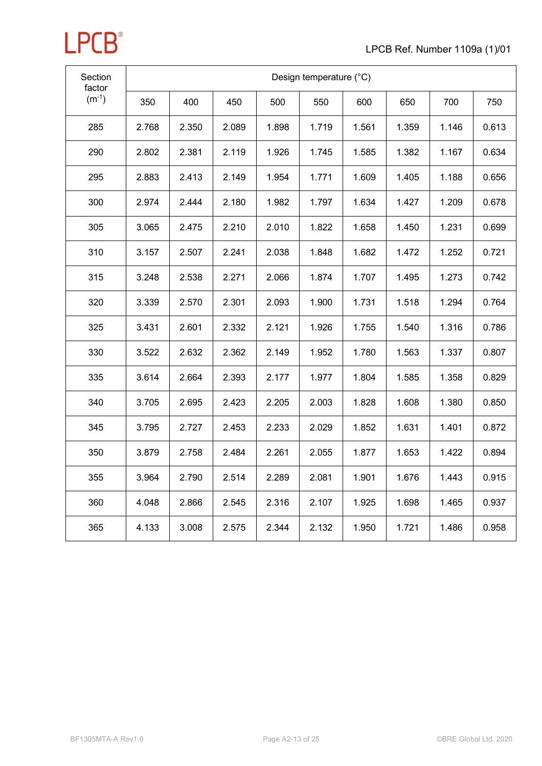

| Section<br>factor |       | Design temperature (°C) |       |       |       |       |       |       |       |  |  |  |  |
|-------------------|-------|-------------------------|-------|-------|-------|-------|-------|-------|-------|--|--|--|--|
| $(m^{-1})$        | 350   | 400                     | 450   | 500   | 550   | 600   | 650   | 700   | 750   |  |  |  |  |
| 285               | 2.768 | 2.350                   | 2.089 | 1.898 | 1.719 | 1.561 | 1.359 | 1.146 | 0.613 |  |  |  |  |
| 290               | 2.802 | 2.381                   | 2.119 | 1.926 | 1.745 | 1.585 | 1.382 | 1.167 | 0.634 |  |  |  |  |
| 295               | 2.883 | 2.413                   | 2.149 | 1.954 | 1.771 | 1.609 | 1.405 | 1.188 | 0.656 |  |  |  |  |
| 300               | 2.974 | 2.444                   | 2.180 | 1.982 | 1.797 | 1.634 | 1.427 | 1.209 | 0.678 |  |  |  |  |
| 305               | 3.065 | 2.475                   | 2.210 | 2.010 | 1.822 | 1.658 | 1.450 | 1.231 | 0.699 |  |  |  |  |
| 310               | 3.157 | 2.507                   | 2.241 | 2.038 | 1.848 | 1.682 | 1.472 | 1.252 | 0.721 |  |  |  |  |
| 315               | 3.248 | 2.538                   | 2.271 | 2.066 | 1.874 | 1.707 | 1.495 | 1.273 | 0.742 |  |  |  |  |
| 320               | 3.339 | 2.570                   | 2.301 | 2.093 | 1.900 | 1.731 | 1.518 | 1.294 | 0.764 |  |  |  |  |
| 325               | 3.431 | 2.601                   | 2.332 | 2.121 | 1.926 | 1.755 | 1.540 | 1.316 | 0.786 |  |  |  |  |
| 330               | 3.522 | 2.632                   | 2.362 | 2.149 | 1.952 | 1.780 | 1.563 | 1.337 | 0.807 |  |  |  |  |
| 335               | 3.614 | 2.664                   | 2.393 | 2.177 | 1.977 | 1.804 | 1.585 | 1.358 | 0.829 |  |  |  |  |
| 340               | 3.705 | 2.695                   | 2.423 | 2.205 | 2.003 | 1.828 | 1.608 | 1.380 | 0.850 |  |  |  |  |
| 345               | 3.795 | 2.727                   | 2.453 | 2.233 | 2.029 | 1.852 | 1.631 | 1.401 | 0.872 |  |  |  |  |
| 350               | 3.879 | 2.758                   | 2.484 | 2.261 | 2.055 | 1.877 | 1.653 | 1.422 | 0.894 |  |  |  |  |
| 355               | 3.964 | 2.790                   | 2.514 | 2.289 | 2.081 | 1.901 | 1.676 | 1.443 | 0.915 |  |  |  |  |
| 360               | 4.048 | 2.866                   | 2.545 | 2.316 | 2.107 | 1.925 | 1.698 | 1.465 | 0.937 |  |  |  |  |
| 365               | 4.133 | 3.008                   | 2.575 | 2.344 | 2.132 | 1.950 | 1.721 | 1.486 | 0.958 |  |  |  |  |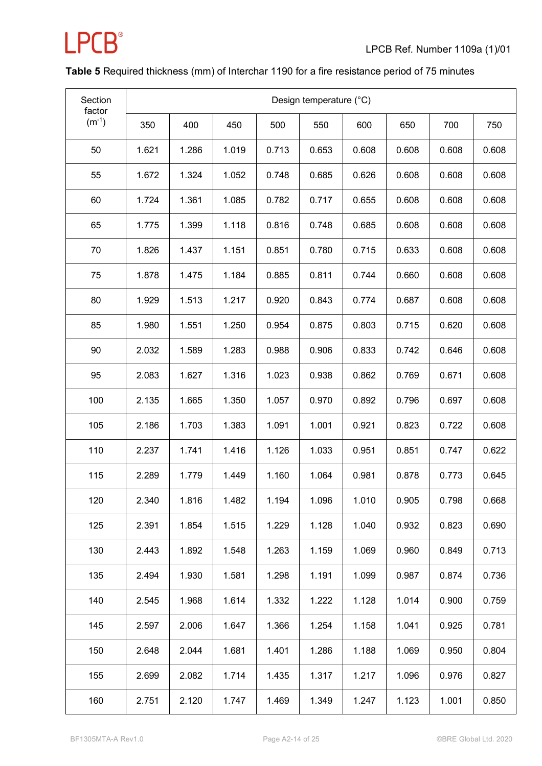

### **Table 5** Required thickness (mm) of Interchar 1190 for a fire resistance period of 75 minutes

| Section<br>factor | Design temperature (°C) |       |       |       |       |       |       |       |       |
|-------------------|-------------------------|-------|-------|-------|-------|-------|-------|-------|-------|
| $(m^{-1})$        | 350                     | 400   | 450   | 500   | 550   | 600   | 650   | 700   | 750   |
| 50                | 1.621                   | 1.286 | 1.019 | 0.713 | 0.653 | 0.608 | 0.608 | 0.608 | 0.608 |
| 55                | 1.672                   | 1.324 | 1.052 | 0.748 | 0.685 | 0.626 | 0.608 | 0.608 | 0.608 |
| 60                | 1.724                   | 1.361 | 1.085 | 0.782 | 0.717 | 0.655 | 0.608 | 0.608 | 0.608 |
| 65                | 1.775                   | 1.399 | 1.118 | 0.816 | 0.748 | 0.685 | 0.608 | 0.608 | 0.608 |
| 70                | 1.826                   | 1.437 | 1.151 | 0.851 | 0.780 | 0.715 | 0.633 | 0.608 | 0.608 |
| 75                | 1.878                   | 1.475 | 1.184 | 0.885 | 0.811 | 0.744 | 0.660 | 0.608 | 0.608 |
| 80                | 1.929                   | 1.513 | 1.217 | 0.920 | 0.843 | 0.774 | 0.687 | 0.608 | 0.608 |
| 85                | 1.980                   | 1.551 | 1.250 | 0.954 | 0.875 | 0.803 | 0.715 | 0.620 | 0.608 |
| 90                | 2.032                   | 1.589 | 1.283 | 0.988 | 0.906 | 0.833 | 0.742 | 0.646 | 0.608 |
| 95                | 2.083                   | 1.627 | 1.316 | 1.023 | 0.938 | 0.862 | 0.769 | 0.671 | 0.608 |
| 100               | 2.135                   | 1.665 | 1.350 | 1.057 | 0.970 | 0.892 | 0.796 | 0.697 | 0.608 |
| 105               | 2.186                   | 1.703 | 1.383 | 1.091 | 1.001 | 0.921 | 0.823 | 0.722 | 0.608 |
| 110               | 2.237                   | 1.741 | 1.416 | 1.126 | 1.033 | 0.951 | 0.851 | 0.747 | 0.622 |
| 115               | 2.289                   | 1.779 | 1.449 | 1.160 | 1.064 | 0.981 | 0.878 | 0.773 | 0.645 |
| 120               | 2.340                   | 1.816 | 1.482 | 1.194 | 1.096 | 1.010 | 0.905 | 0.798 | 0.668 |
| 125               | 2.391                   | 1.854 | 1.515 | 1.229 | 1.128 | 1.040 | 0.932 | 0.823 | 0.690 |
| 130               | 2.443                   | 1.892 | 1.548 | 1.263 | 1.159 | 1.069 | 0.960 | 0.849 | 0.713 |
| 135               | 2.494                   | 1.930 | 1.581 | 1.298 | 1.191 | 1.099 | 0.987 | 0.874 | 0.736 |
| 140               | 2.545                   | 1.968 | 1.614 | 1.332 | 1.222 | 1.128 | 1.014 | 0.900 | 0.759 |
| 145               | 2.597                   | 2.006 | 1.647 | 1.366 | 1.254 | 1.158 | 1.041 | 0.925 | 0.781 |
| 150               | 2.648                   | 2.044 | 1.681 | 1.401 | 1.286 | 1.188 | 1.069 | 0.950 | 0.804 |
| 155               | 2.699                   | 2.082 | 1.714 | 1.435 | 1.317 | 1.217 | 1.096 | 0.976 | 0.827 |
| 160               | 2.751                   | 2.120 | 1.747 | 1.469 | 1.349 | 1.247 | 1.123 | 1.001 | 0.850 |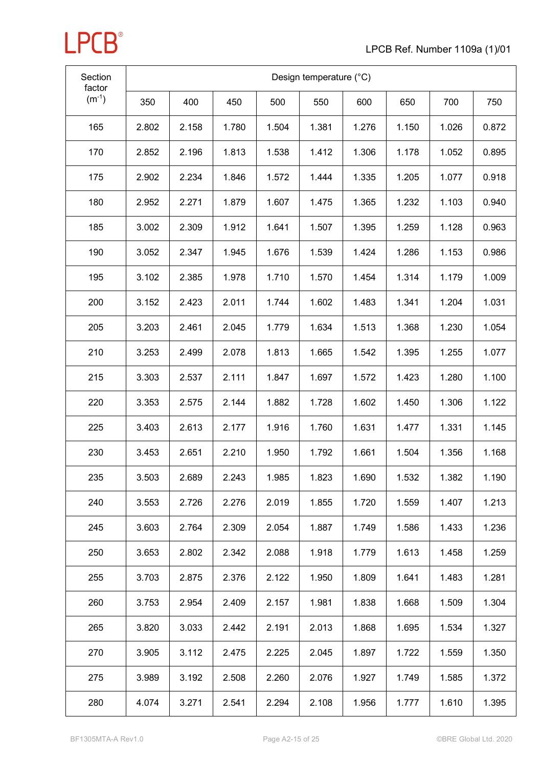

| Section<br>factor | Design temperature (°C) |       |       |       |       |       |       |       |       |
|-------------------|-------------------------|-------|-------|-------|-------|-------|-------|-------|-------|
| $(m^{-1})$        | 350                     | 400   | 450   | 500   | 550   | 600   | 650   | 700   | 750   |
| 165               | 2.802                   | 2.158 | 1.780 | 1.504 | 1.381 | 1.276 | 1.150 | 1.026 | 0.872 |
| 170               | 2.852                   | 2.196 | 1.813 | 1.538 | 1.412 | 1.306 | 1.178 | 1.052 | 0.895 |
| 175               | 2.902                   | 2.234 | 1.846 | 1.572 | 1.444 | 1.335 | 1.205 | 1.077 | 0.918 |
| 180               | 2.952                   | 2.271 | 1.879 | 1.607 | 1.475 | 1.365 | 1.232 | 1.103 | 0.940 |
| 185               | 3.002                   | 2.309 | 1.912 | 1.641 | 1.507 | 1.395 | 1.259 | 1.128 | 0.963 |
| 190               | 3.052                   | 2.347 | 1.945 | 1.676 | 1.539 | 1.424 | 1.286 | 1.153 | 0.986 |
| 195               | 3.102                   | 2.385 | 1.978 | 1.710 | 1.570 | 1.454 | 1.314 | 1.179 | 1.009 |
| 200               | 3.152                   | 2.423 | 2.011 | 1.744 | 1.602 | 1.483 | 1.341 | 1.204 | 1.031 |
| 205               | 3.203                   | 2.461 | 2.045 | 1.779 | 1.634 | 1.513 | 1.368 | 1.230 | 1.054 |
| 210               | 3.253                   | 2.499 | 2.078 | 1.813 | 1.665 | 1.542 | 1.395 | 1.255 | 1.077 |
| 215               | 3.303                   | 2.537 | 2.111 | 1.847 | 1.697 | 1.572 | 1.423 | 1.280 | 1.100 |
| 220               | 3.353                   | 2.575 | 2.144 | 1.882 | 1.728 | 1.602 | 1.450 | 1.306 | 1.122 |
| 225               | 3.403                   | 2.613 | 2.177 | 1.916 | 1.760 | 1.631 | 1.477 | 1.331 | 1.145 |
| 230               | 3.453                   | 2.651 | 2.210 | 1.950 | 1.792 | 1.661 | 1.504 | 1.356 | 1.168 |
| 235               | 3.503                   | 2.689 | 2.243 | 1.985 | 1.823 | 1.690 | 1.532 | 1.382 | 1.190 |
| 240               | 3.553                   | 2.726 | 2.276 | 2.019 | 1.855 | 1.720 | 1.559 | 1.407 | 1.213 |
| 245               | 3.603                   | 2.764 | 2.309 | 2.054 | 1.887 | 1.749 | 1.586 | 1.433 | 1.236 |
| 250               | 3.653                   | 2.802 | 2.342 | 2.088 | 1.918 | 1.779 | 1.613 | 1.458 | 1.259 |
| 255               | 3.703                   | 2.875 | 2.376 | 2.122 | 1.950 | 1.809 | 1.641 | 1.483 | 1.281 |
| 260               | 3.753                   | 2.954 | 2.409 | 2.157 | 1.981 | 1.838 | 1.668 | 1.509 | 1.304 |
| 265               | 3.820                   | 3.033 | 2.442 | 2.191 | 2.013 | 1.868 | 1.695 | 1.534 | 1.327 |
| 270               | 3.905                   | 3.112 | 2.475 | 2.225 | 2.045 | 1.897 | 1.722 | 1.559 | 1.350 |
| 275               | 3.989                   | 3.192 | 2.508 | 2.260 | 2.076 | 1.927 | 1.749 | 1.585 | 1.372 |
| 280               | 4.074                   | 3.271 | 2.541 | 2.294 | 2.108 | 1.956 | 1.777 | 1.610 | 1.395 |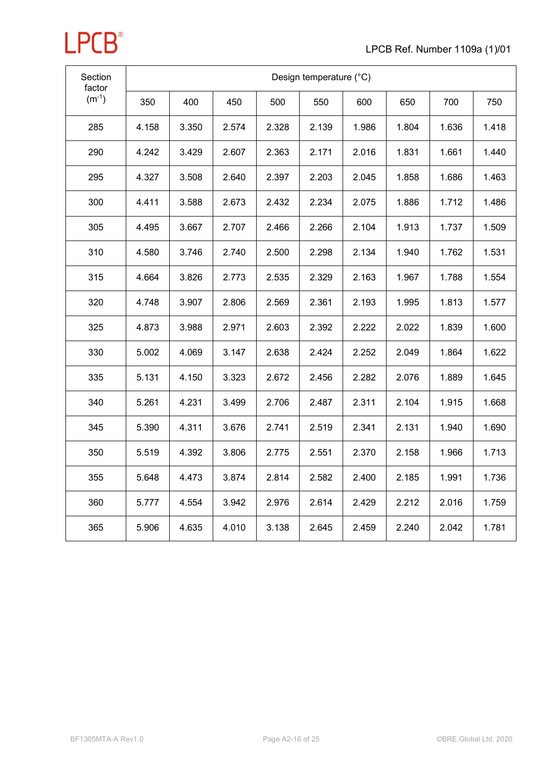

| Section<br>factor | Design temperature (°C) |       |       |       |       |       |       |       |       |
|-------------------|-------------------------|-------|-------|-------|-------|-------|-------|-------|-------|
| $(m^{-1})$        | 350                     | 400   | 450   | 500   | 550   | 600   | 650   | 700   | 750   |
| 285               | 4.158                   | 3.350 | 2.574 | 2.328 | 2.139 | 1.986 | 1.804 | 1.636 | 1.418 |
| 290               | 4.242                   | 3.429 | 2.607 | 2.363 | 2.171 | 2.016 | 1.831 | 1.661 | 1.440 |
| 295               | 4.327                   | 3.508 | 2.640 | 2.397 | 2.203 | 2.045 | 1.858 | 1.686 | 1.463 |
| 300               | 4.411                   | 3.588 | 2.673 | 2.432 | 2.234 | 2.075 | 1.886 | 1.712 | 1.486 |
| 305               | 4.495                   | 3.667 | 2.707 | 2.466 | 2.266 | 2.104 | 1.913 | 1.737 | 1.509 |
| 310               | 4.580                   | 3.746 | 2.740 | 2.500 | 2.298 | 2.134 | 1.940 | 1.762 | 1.531 |
| 315               | 4.664                   | 3.826 | 2.773 | 2.535 | 2.329 | 2.163 | 1.967 | 1.788 | 1.554 |
| 320               | 4.748                   | 3.907 | 2.806 | 2.569 | 2.361 | 2.193 | 1.995 | 1.813 | 1.577 |
| 325               | 4.873                   | 3.988 | 2.971 | 2.603 | 2.392 | 2.222 | 2.022 | 1.839 | 1.600 |
| 330               | 5.002                   | 4.069 | 3.147 | 2.638 | 2.424 | 2.252 | 2.049 | 1.864 | 1.622 |
| 335               | 5.131                   | 4.150 | 3.323 | 2.672 | 2.456 | 2.282 | 2.076 | 1.889 | 1.645 |
| 340               | 5.261                   | 4.231 | 3.499 | 2.706 | 2.487 | 2.311 | 2.104 | 1.915 | 1.668 |
| 345               | 5.390                   | 4.311 | 3.676 | 2.741 | 2.519 | 2.341 | 2.131 | 1.940 | 1.690 |
| 350               | 5.519                   | 4.392 | 3.806 | 2.775 | 2.551 | 2.370 | 2.158 | 1.966 | 1.713 |
| 355               | 5.648                   | 4.473 | 3.874 | 2.814 | 2.582 | 2.400 | 2.185 | 1.991 | 1.736 |
| 360               | 5.777                   | 4.554 | 3.942 | 2.976 | 2.614 | 2.429 | 2.212 | 2.016 | 1.759 |
| 365               | 5.906                   | 4.635 | 4.010 | 3.138 | 2.645 | 2.459 | 2.240 | 2.042 | 1.781 |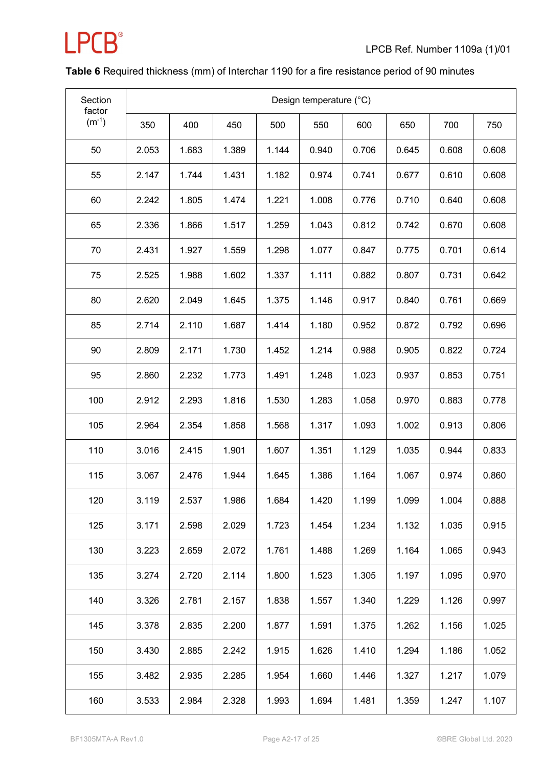

### **Table 6** Required thickness (mm) of Interchar 1190 for a fire resistance period of 90 minutes

| Section<br>factor | Design temperature (°C) |       |       |       |       |       |       |       |       |
|-------------------|-------------------------|-------|-------|-------|-------|-------|-------|-------|-------|
| $(m^{-1})$        | 350                     | 400   | 450   | 500   | 550   | 600   | 650   | 700   | 750   |
| 50                | 2.053                   | 1.683 | 1.389 | 1.144 | 0.940 | 0.706 | 0.645 | 0.608 | 0.608 |
| 55                | 2.147                   | 1.744 | 1.431 | 1.182 | 0.974 | 0.741 | 0.677 | 0.610 | 0.608 |
| 60                | 2.242                   | 1.805 | 1.474 | 1.221 | 1.008 | 0.776 | 0.710 | 0.640 | 0.608 |
| 65                | 2.336                   | 1.866 | 1.517 | 1.259 | 1.043 | 0.812 | 0.742 | 0.670 | 0.608 |
| 70                | 2.431                   | 1.927 | 1.559 | 1.298 | 1.077 | 0.847 | 0.775 | 0.701 | 0.614 |
| 75                | 2.525                   | 1.988 | 1.602 | 1.337 | 1.111 | 0.882 | 0.807 | 0.731 | 0.642 |
| 80                | 2.620                   | 2.049 | 1.645 | 1.375 | 1.146 | 0.917 | 0.840 | 0.761 | 0.669 |
| 85                | 2.714                   | 2.110 | 1.687 | 1.414 | 1.180 | 0.952 | 0.872 | 0.792 | 0.696 |
| 90                | 2.809                   | 2.171 | 1.730 | 1.452 | 1.214 | 0.988 | 0.905 | 0.822 | 0.724 |
| 95                | 2.860                   | 2.232 | 1.773 | 1.491 | 1.248 | 1.023 | 0.937 | 0.853 | 0.751 |
| 100               | 2.912                   | 2.293 | 1.816 | 1.530 | 1.283 | 1.058 | 0.970 | 0.883 | 0.778 |
| 105               | 2.964                   | 2.354 | 1.858 | 1.568 | 1.317 | 1.093 | 1.002 | 0.913 | 0.806 |
| 110               | 3.016                   | 2.415 | 1.901 | 1.607 | 1.351 | 1.129 | 1.035 | 0.944 | 0.833 |
| 115               | 3.067                   | 2.476 | 1.944 | 1.645 | 1.386 | 1.164 | 1.067 | 0.974 | 0.860 |
| 120               | 3.119                   | 2.537 | 1.986 | 1.684 | 1.420 | 1.199 | 1.099 | 1.004 | 0.888 |
| 125               | 3.171                   | 2.598 | 2.029 | 1.723 | 1.454 | 1.234 | 1.132 | 1.035 | 0.915 |
| 130               | 3.223                   | 2.659 | 2.072 | 1.761 | 1.488 | 1.269 | 1.164 | 1.065 | 0.943 |
| 135               | 3.274                   | 2.720 | 2.114 | 1.800 | 1.523 | 1.305 | 1.197 | 1.095 | 0.970 |
| 140               | 3.326                   | 2.781 | 2.157 | 1.838 | 1.557 | 1.340 | 1.229 | 1.126 | 0.997 |
| 145               | 3.378                   | 2.835 | 2.200 | 1.877 | 1.591 | 1.375 | 1.262 | 1.156 | 1.025 |
| 150               | 3.430                   | 2.885 | 2.242 | 1.915 | 1.626 | 1.410 | 1.294 | 1.186 | 1.052 |
| 155               | 3.482                   | 2.935 | 2.285 | 1.954 | 1.660 | 1.446 | 1.327 | 1.217 | 1.079 |
| 160               | 3.533                   | 2.984 | 2.328 | 1.993 | 1.694 | 1.481 | 1.359 | 1.247 | 1.107 |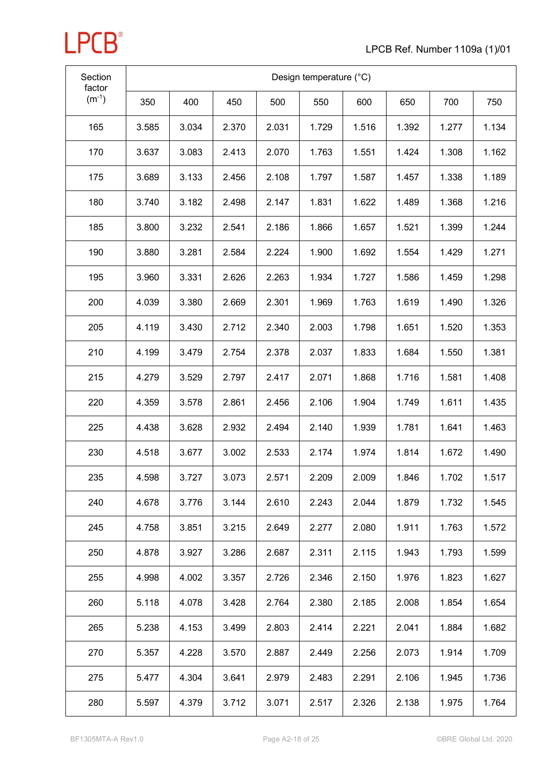

| Section<br>factor | Design temperature (°C) |       |       |       |       |       |       |       |       |
|-------------------|-------------------------|-------|-------|-------|-------|-------|-------|-------|-------|
| $(m^{-1})$        | 350                     | 400   | 450   | 500   | 550   | 600   | 650   | 700   | 750   |
| 165               | 3.585                   | 3.034 | 2.370 | 2.031 | 1.729 | 1.516 | 1.392 | 1.277 | 1.134 |
| 170               | 3.637                   | 3.083 | 2.413 | 2.070 | 1.763 | 1.551 | 1.424 | 1.308 | 1.162 |
| 175               | 3.689                   | 3.133 | 2.456 | 2.108 | 1.797 | 1.587 | 1.457 | 1.338 | 1.189 |
| 180               | 3.740                   | 3.182 | 2.498 | 2.147 | 1.831 | 1.622 | 1.489 | 1.368 | 1.216 |
| 185               | 3.800                   | 3.232 | 2.541 | 2.186 | 1.866 | 1.657 | 1.521 | 1.399 | 1.244 |
| 190               | 3.880                   | 3.281 | 2.584 | 2.224 | 1.900 | 1.692 | 1.554 | 1.429 | 1.271 |
| 195               | 3.960                   | 3.331 | 2.626 | 2.263 | 1.934 | 1.727 | 1.586 | 1.459 | 1.298 |
| 200               | 4.039                   | 3.380 | 2.669 | 2.301 | 1.969 | 1.763 | 1.619 | 1.490 | 1.326 |
| 205               | 4.119                   | 3.430 | 2.712 | 2.340 | 2.003 | 1.798 | 1.651 | 1.520 | 1.353 |
| 210               | 4.199                   | 3.479 | 2.754 | 2.378 | 2.037 | 1.833 | 1.684 | 1.550 | 1.381 |
| 215               | 4.279                   | 3.529 | 2.797 | 2.417 | 2.071 | 1.868 | 1.716 | 1.581 | 1.408 |
| 220               | 4.359                   | 3.578 | 2.861 | 2.456 | 2.106 | 1.904 | 1.749 | 1.611 | 1.435 |
| 225               | 4.438                   | 3.628 | 2.932 | 2.494 | 2.140 | 1.939 | 1.781 | 1.641 | 1.463 |
| 230               | 4.518                   | 3.677 | 3.002 | 2.533 | 2.174 | 1.974 | 1.814 | 1.672 | 1.490 |
| 235               | 4.598                   | 3.727 | 3.073 | 2.571 | 2.209 | 2.009 | 1.846 | 1.702 | 1.517 |
| 240               | 4.678                   | 3.776 | 3.144 | 2.610 | 2.243 | 2.044 | 1.879 | 1.732 | 1.545 |
| 245               | 4.758                   | 3.851 | 3.215 | 2.649 | 2.277 | 2.080 | 1.911 | 1.763 | 1.572 |
| 250               | 4.878                   | 3.927 | 3.286 | 2.687 | 2.311 | 2.115 | 1.943 | 1.793 | 1.599 |
| 255               | 4.998                   | 4.002 | 3.357 | 2.726 | 2.346 | 2.150 | 1.976 | 1.823 | 1.627 |
| 260               | 5.118                   | 4.078 | 3.428 | 2.764 | 2.380 | 2.185 | 2.008 | 1.854 | 1.654 |
| 265               | 5.238                   | 4.153 | 3.499 | 2.803 | 2.414 | 2.221 | 2.041 | 1.884 | 1.682 |
| 270               | 5.357                   | 4.228 | 3.570 | 2.887 | 2.449 | 2.256 | 2.073 | 1.914 | 1.709 |
| 275               | 5.477                   | 4.304 | 3.641 | 2.979 | 2.483 | 2.291 | 2.106 | 1.945 | 1.736 |
| 280               | 5.597                   | 4.379 | 3.712 | 3.071 | 2.517 | 2.326 | 2.138 | 1.975 | 1.764 |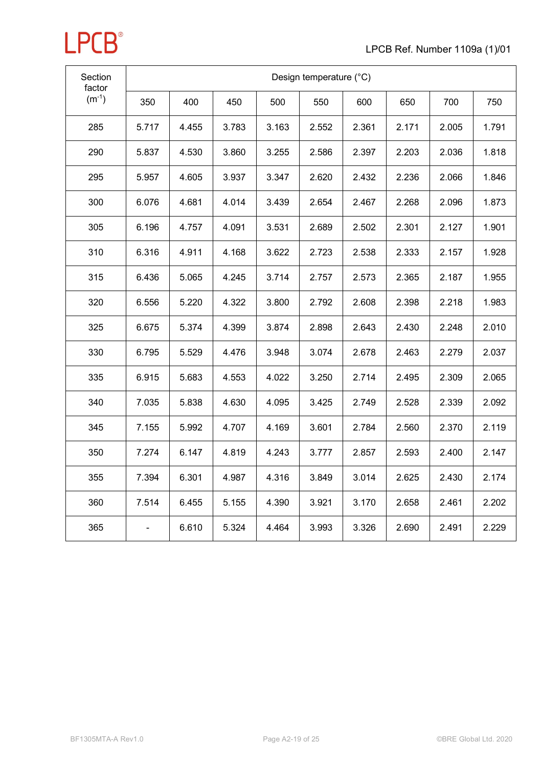

| Section<br>factor | Design temperature (°C) |       |       |       |       |       |       |       |       |
|-------------------|-------------------------|-------|-------|-------|-------|-------|-------|-------|-------|
| $(m^{-1})$        | 350                     | 400   | 450   | 500   | 550   | 600   | 650   | 700   | 750   |
| 285               | 5.717                   | 4.455 | 3.783 | 3.163 | 2.552 | 2.361 | 2.171 | 2.005 | 1.791 |
| 290               | 5.837                   | 4.530 | 3.860 | 3.255 | 2.586 | 2.397 | 2.203 | 2.036 | 1.818 |
| 295               | 5.957                   | 4.605 | 3.937 | 3.347 | 2.620 | 2.432 | 2.236 | 2.066 | 1.846 |
| 300               | 6.076                   | 4.681 | 4.014 | 3.439 | 2.654 | 2.467 | 2.268 | 2.096 | 1.873 |
| 305               | 6.196                   | 4.757 | 4.091 | 3.531 | 2.689 | 2.502 | 2.301 | 2.127 | 1.901 |
| 310               | 6.316                   | 4.911 | 4.168 | 3.622 | 2.723 | 2.538 | 2.333 | 2.157 | 1.928 |
| 315               | 6.436                   | 5.065 | 4.245 | 3.714 | 2.757 | 2.573 | 2.365 | 2.187 | 1.955 |
| 320               | 6.556                   | 5.220 | 4.322 | 3.800 | 2.792 | 2.608 | 2.398 | 2.218 | 1.983 |
| 325               | 6.675                   | 5.374 | 4.399 | 3.874 | 2.898 | 2.643 | 2.430 | 2.248 | 2.010 |
| 330               | 6.795                   | 5.529 | 4.476 | 3.948 | 3.074 | 2.678 | 2.463 | 2.279 | 2.037 |
| 335               | 6.915                   | 5.683 | 4.553 | 4.022 | 3.250 | 2.714 | 2.495 | 2.309 | 2.065 |
| 340               | 7.035                   | 5.838 | 4.630 | 4.095 | 3.425 | 2.749 | 2.528 | 2.339 | 2.092 |
| 345               | 7.155                   | 5.992 | 4.707 | 4.169 | 3.601 | 2.784 | 2.560 | 2.370 | 2.119 |
| 350               | 7.274                   | 6.147 | 4.819 | 4.243 | 3.777 | 2.857 | 2.593 | 2.400 | 2.147 |
| 355               | 7.394                   | 6.301 | 4.987 | 4.316 | 3.849 | 3.014 | 2.625 | 2.430 | 2.174 |
| 360               | 7.514                   | 6.455 | 5.155 | 4.390 | 3.921 | 3.170 | 2.658 | 2.461 | 2.202 |
| 365               |                         | 6.610 | 5.324 | 4.464 | 3.993 | 3.326 | 2.690 | 2.491 | 2.229 |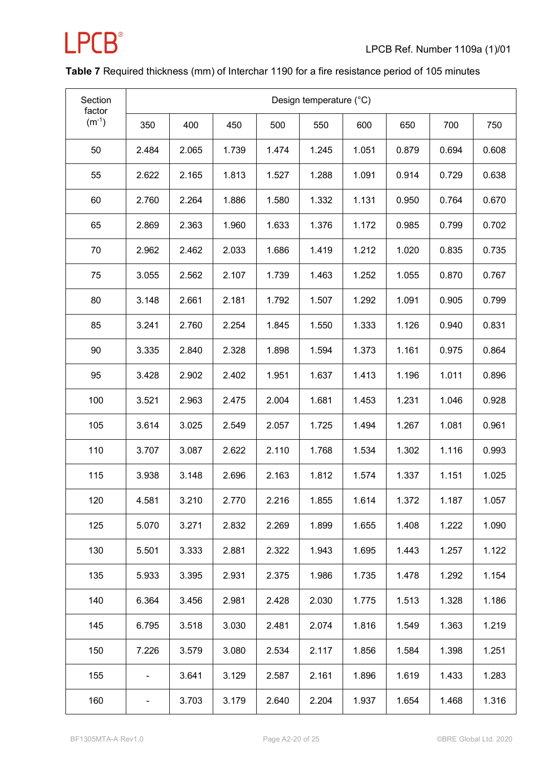

### **Table 7** Required thickness (mm) of Interchar 1190 for a fire resistance period of 105 minutes

| Section<br>factor | Design temperature (°C) |       |       |       |       |       |       |       |       |
|-------------------|-------------------------|-------|-------|-------|-------|-------|-------|-------|-------|
| $(m^{-1})$        | 350                     | 400   | 450   | 500   | 550   | 600   | 650   | 700   | 750   |
| 50                | 2.484                   | 2.065 | 1.739 | 1.474 | 1.245 | 1.051 | 0.879 | 0.694 | 0.608 |
| 55                | 2.622                   | 2.165 | 1.813 | 1.527 | 1.288 | 1.091 | 0.914 | 0.729 | 0.638 |
| 60                | 2.760                   | 2.264 | 1.886 | 1.580 | 1.332 | 1.131 | 0.950 | 0.764 | 0.670 |
| 65                | 2.869                   | 2.363 | 1.960 | 1.633 | 1.376 | 1.172 | 0.985 | 0.799 | 0.702 |
| 70                | 2.962                   | 2.462 | 2.033 | 1.686 | 1.419 | 1.212 | 1.020 | 0.835 | 0.735 |
| 75                | 3.055                   | 2.562 | 2.107 | 1.739 | 1.463 | 1.252 | 1.055 | 0.870 | 0.767 |
| 80                | 3.148                   | 2.661 | 2.181 | 1.792 | 1.507 | 1.292 | 1.091 | 0.905 | 0.799 |
| 85                | 3.241                   | 2.760 | 2.254 | 1.845 | 1.550 | 1.333 | 1.126 | 0.940 | 0.831 |
| 90                | 3.335                   | 2.840 | 2.328 | 1.898 | 1.594 | 1.373 | 1.161 | 0.975 | 0.864 |
| 95                | 3.428                   | 2.902 | 2.402 | 1.951 | 1.637 | 1.413 | 1.196 | 1.011 | 0.896 |
| 100               | 3.521                   | 2.963 | 2.475 | 2.004 | 1.681 | 1.453 | 1.231 | 1.046 | 0.928 |
| 105               | 3.614                   | 3.025 | 2.549 | 2.057 | 1.725 | 1.494 | 1.267 | 1.081 | 0.961 |
| 110               | 3.707                   | 3.087 | 2.622 | 2.110 | 1.768 | 1.534 | 1.302 | 1.116 | 0.993 |
| 115               | 3.938                   | 3.148 | 2.696 | 2.163 | 1.812 | 1.574 | 1.337 | 1.151 | 1.025 |
| 120               | 4.581                   | 3.210 | 2.770 | 2.216 | 1.855 | 1.614 | 1.372 | 1.187 | 1.057 |
| 125               | 5.070                   | 3.271 | 2.832 | 2.269 | 1.899 | 1.655 | 1.408 | 1.222 | 1.090 |
| 130               | 5.501                   | 3.333 | 2.881 | 2.322 | 1.943 | 1.695 | 1.443 | 1.257 | 1.122 |
| 135               | 5.933                   | 3.395 | 2.931 | 2.375 | 1.986 | 1.735 | 1.478 | 1.292 | 1.154 |
| 140               | 6.364                   | 3.456 | 2.981 | 2.428 | 2.030 | 1.775 | 1.513 | 1.328 | 1.186 |
| 145               | 6.795                   | 3.518 | 3.030 | 2.481 | 2.074 | 1.816 | 1.549 | 1.363 | 1.219 |
| 150               | 7.226                   | 3.579 | 3.080 | 2.534 | 2.117 | 1.856 | 1.584 | 1.398 | 1.251 |
| 155               |                         | 3.641 | 3.129 | 2.587 | 2.161 | 1.896 | 1.619 | 1.433 | 1.283 |
| 160               |                         | 3.703 | 3.179 | 2.640 | 2.204 | 1.937 | 1.654 | 1.468 | 1.316 |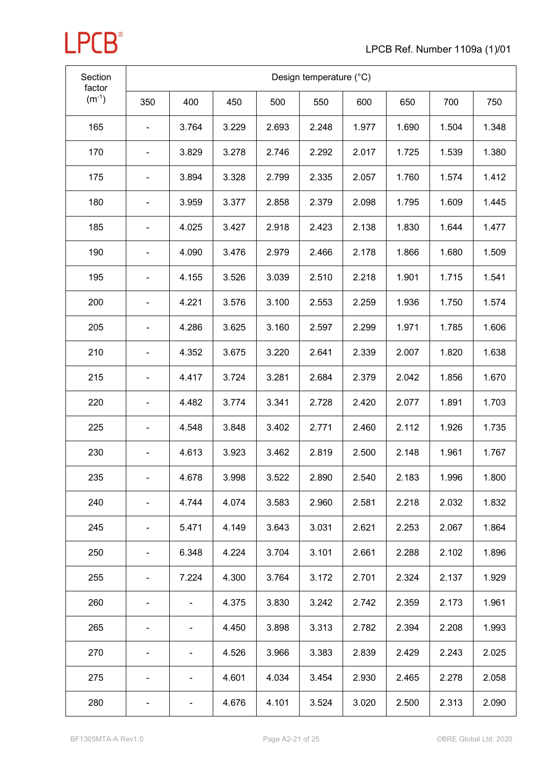

| Section<br>factor | Design temperature (°C) |       |       |       |       |       |       |       |       |
|-------------------|-------------------------|-------|-------|-------|-------|-------|-------|-------|-------|
| $(m^{-1})$        | 350                     | 400   | 450   | 500   | 550   | 600   | 650   | 700   | 750   |
| 165               |                         | 3.764 | 3.229 | 2.693 | 2.248 | 1.977 | 1.690 | 1.504 | 1.348 |
| 170               |                         | 3.829 | 3.278 | 2.746 | 2.292 | 2.017 | 1.725 | 1.539 | 1.380 |
| 175               |                         | 3.894 | 3.328 | 2.799 | 2.335 | 2.057 | 1.760 | 1.574 | 1.412 |
| 180               |                         | 3.959 | 3.377 | 2.858 | 2.379 | 2.098 | 1.795 | 1.609 | 1.445 |
| 185               |                         | 4.025 | 3.427 | 2.918 | 2.423 | 2.138 | 1.830 | 1.644 | 1.477 |
| 190               |                         | 4.090 | 3.476 | 2.979 | 2.466 | 2.178 | 1.866 | 1.680 | 1.509 |
| 195               | -                       | 4.155 | 3.526 | 3.039 | 2.510 | 2.218 | 1.901 | 1.715 | 1.541 |
| 200               |                         | 4.221 | 3.576 | 3.100 | 2.553 | 2.259 | 1.936 | 1.750 | 1.574 |
| 205               |                         | 4.286 | 3.625 | 3.160 | 2.597 | 2.299 | 1.971 | 1.785 | 1.606 |
| 210               |                         | 4.352 | 3.675 | 3.220 | 2.641 | 2.339 | 2.007 | 1.820 | 1.638 |
| 215               |                         | 4.417 | 3.724 | 3.281 | 2.684 | 2.379 | 2.042 | 1.856 | 1.670 |
| 220               |                         | 4.482 | 3.774 | 3.341 | 2.728 | 2.420 | 2.077 | 1.891 | 1.703 |
| 225               |                         | 4.548 | 3.848 | 3.402 | 2.771 | 2.460 | 2.112 | 1.926 | 1.735 |
| 230               | -                       | 4.613 | 3.923 | 3.462 | 2.819 | 2.500 | 2.148 | 1.961 | 1.767 |
| 235               |                         | 4.678 | 3.998 | 3.522 | 2.890 | 2.540 | 2.183 | 1.996 | 1.800 |
| 240               |                         | 4.744 | 4.074 | 3.583 | 2.960 | 2.581 | 2.218 | 2.032 | 1.832 |
| 245               | -                       | 5.471 | 4.149 | 3.643 | 3.031 | 2.621 | 2.253 | 2.067 | 1.864 |
| 250               | ۰                       | 6.348 | 4.224 | 3.704 | 3.101 | 2.661 | 2.288 | 2.102 | 1.896 |
| 255               | -                       | 7.224 | 4.300 | 3.764 | 3.172 | 2.701 | 2.324 | 2.137 | 1.929 |
| 260               |                         |       | 4.375 | 3.830 | 3.242 | 2.742 | 2.359 | 2.173 | 1.961 |
| 265               |                         | -     | 4.450 | 3.898 | 3.313 | 2.782 | 2.394 | 2.208 | 1.993 |
| 270               |                         | -     | 4.526 | 3.966 | 3.383 | 2.839 | 2.429 | 2.243 | 2.025 |
| 275               |                         | -     | 4.601 | 4.034 | 3.454 | 2.930 | 2.465 | 2.278 | 2.058 |
| 280               |                         | ۰     | 4.676 | 4.101 | 3.524 | 3.020 | 2.500 | 2.313 | 2.090 |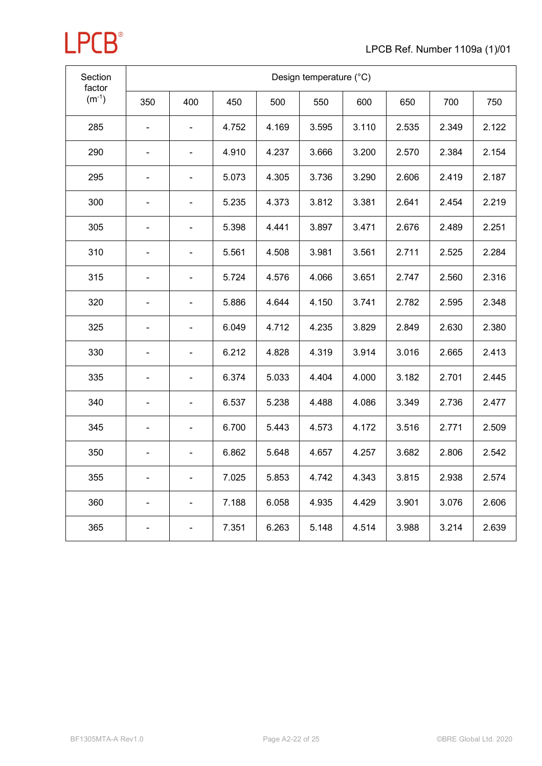

| Section<br>factor | Design temperature (°C) |                |       |       |       |       |       |       |       |
|-------------------|-------------------------|----------------|-------|-------|-------|-------|-------|-------|-------|
| $(m^{-1})$        | 350                     | 400            | 450   | 500   | 550   | 600   | 650   | 700   | 750   |
| 285               |                         |                | 4.752 | 4.169 | 3.595 | 3.110 | 2.535 | 2.349 | 2.122 |
| 290               |                         |                | 4.910 | 4.237 | 3.666 | 3.200 | 2.570 | 2.384 | 2.154 |
| 295               |                         |                | 5.073 | 4.305 | 3.736 | 3.290 | 2.606 | 2.419 | 2.187 |
| 300               |                         |                | 5.235 | 4.373 | 3.812 | 3.381 | 2.641 | 2.454 | 2.219 |
| 305               |                         |                | 5.398 | 4.441 | 3.897 | 3.471 | 2.676 | 2.489 | 2.251 |
| 310               |                         |                | 5.561 | 4.508 | 3.981 | 3.561 | 2.711 | 2.525 | 2.284 |
| 315               |                         |                | 5.724 | 4.576 | 4.066 | 3.651 | 2.747 | 2.560 | 2.316 |
| 320               |                         | $\blacksquare$ | 5.886 | 4.644 | 4.150 | 3.741 | 2.782 | 2.595 | 2.348 |
| 325               |                         | ÷.             | 6.049 | 4.712 | 4.235 | 3.829 | 2.849 | 2.630 | 2.380 |
| 330               |                         | ÷,             | 6.212 | 4.828 | 4.319 | 3.914 | 3.016 | 2.665 | 2.413 |
| 335               |                         | $\blacksquare$ | 6.374 | 5.033 | 4.404 | 4.000 | 3.182 | 2.701 | 2.445 |
| 340               |                         | $\blacksquare$ | 6.537 | 5.238 | 4.488 | 4.086 | 3.349 | 2.736 | 2.477 |
| 345               |                         |                | 6.700 | 5.443 | 4.573 | 4.172 | 3.516 | 2.771 | 2.509 |
| 350               |                         |                | 6.862 | 5.648 | 4.657 | 4.257 | 3.682 | 2.806 | 2.542 |
| 355               |                         |                | 7.025 | 5.853 | 4.742 | 4.343 | 3.815 | 2.938 | 2.574 |
| 360               |                         |                | 7.188 | 6.058 | 4.935 | 4.429 | 3.901 | 3.076 | 2.606 |
| 365               |                         |                | 7.351 | 6.263 | 5.148 | 4.514 | 3.988 | 3.214 | 2.639 |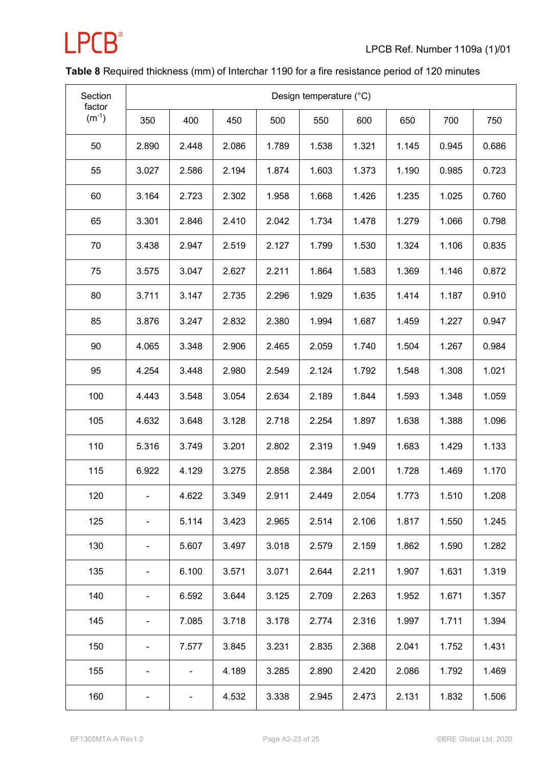

### **Table 8** Required thickness (mm) of Interchar 1190 for a fire resistance period of 120 minutes

| Section<br>factor | Design temperature (°C) |       |       |       |       |       |       |       |       |  |  |  |
|-------------------|-------------------------|-------|-------|-------|-------|-------|-------|-------|-------|--|--|--|
| $(m^{-1})$        | 350                     | 400   | 450   | 500   | 550   | 600   | 650   | 700   | 750   |  |  |  |
| 50                | 2.890                   | 2.448 | 2.086 | 1.789 | 1.538 | 1.321 | 1.145 | 0.945 | 0.686 |  |  |  |
| 55                | 3.027                   | 2.586 | 2.194 | 1.874 | 1.603 | 1.373 | 1.190 | 0.985 | 0.723 |  |  |  |
| 60                | 3.164                   | 2.723 | 2.302 | 1.958 | 1.668 | 1.426 | 1.235 | 1.025 | 0.760 |  |  |  |
| 65                | 3.301                   | 2.846 | 2.410 | 2.042 | 1.734 | 1.478 | 1.279 | 1.066 | 0.798 |  |  |  |
| 70                | 3.438                   | 2.947 | 2.519 | 2.127 | 1.799 | 1.530 | 1.324 | 1.106 | 0.835 |  |  |  |
| 75                | 3.575                   | 3.047 | 2.627 | 2.211 | 1.864 | 1.583 | 1.369 | 1.146 | 0.872 |  |  |  |
| 80                | 3.711                   | 3.147 | 2.735 | 2.296 | 1.929 | 1.635 | 1.414 | 1.187 | 0.910 |  |  |  |
| 85                | 3.876                   | 3.247 | 2.832 | 2.380 | 1.994 | 1.687 | 1.459 | 1.227 | 0.947 |  |  |  |
| 90                | 4.065                   | 3.348 | 2.906 | 2.465 | 2.059 | 1.740 | 1.504 | 1.267 | 0.984 |  |  |  |
| 95                | 4.254                   | 3.448 | 2.980 | 2.549 | 2.124 | 1.792 | 1.548 | 1.308 | 1.021 |  |  |  |
| 100               | 4.443                   | 3.548 | 3.054 | 2.634 | 2.189 | 1.844 | 1.593 | 1.348 | 1.059 |  |  |  |
| 105               | 4.632                   | 3.648 | 3.128 | 2.718 | 2.254 | 1.897 | 1.638 | 1.388 | 1.096 |  |  |  |
| 110               | 5.316                   | 3.749 | 3.201 | 2.802 | 2.319 | 1.949 | 1.683 | 1.429 | 1.133 |  |  |  |
| 115               | 6.922                   | 4.129 | 3.275 | 2.858 | 2.384 | 2.001 | 1.728 | 1.469 | 1.170 |  |  |  |
| 120               |                         | 4.622 | 3.349 | 2.911 | 2.449 | 2.054 | 1.773 | 1.510 | 1.208 |  |  |  |
| 125               |                         | 5.114 | 3.423 | 2.965 | 2.514 | 2.106 | 1.817 | 1.550 | 1.245 |  |  |  |
| 130               |                         | 5.607 | 3.497 | 3.018 | 2.579 | 2.159 | 1.862 | 1.590 | 1.282 |  |  |  |
| 135               |                         | 6.100 | 3.571 | 3.071 | 2.644 | 2.211 | 1.907 | 1.631 | 1.319 |  |  |  |
| 140               |                         | 6.592 | 3.644 | 3.125 | 2.709 | 2.263 | 1.952 | 1.671 | 1.357 |  |  |  |
| 145               |                         | 7.085 | 3.718 | 3.178 | 2.774 | 2.316 | 1.997 | 1.711 | 1.394 |  |  |  |
| 150               |                         | 7.577 | 3.845 | 3.231 | 2.835 | 2.368 | 2.041 | 1.752 | 1.431 |  |  |  |
| 155               |                         |       | 4.189 | 3.285 | 2.890 | 2.420 | 2.086 | 1.792 | 1.469 |  |  |  |
| 160               |                         | -     | 4.532 | 3.338 | 2.945 | 2.473 | 2.131 | 1.832 | 1.506 |  |  |  |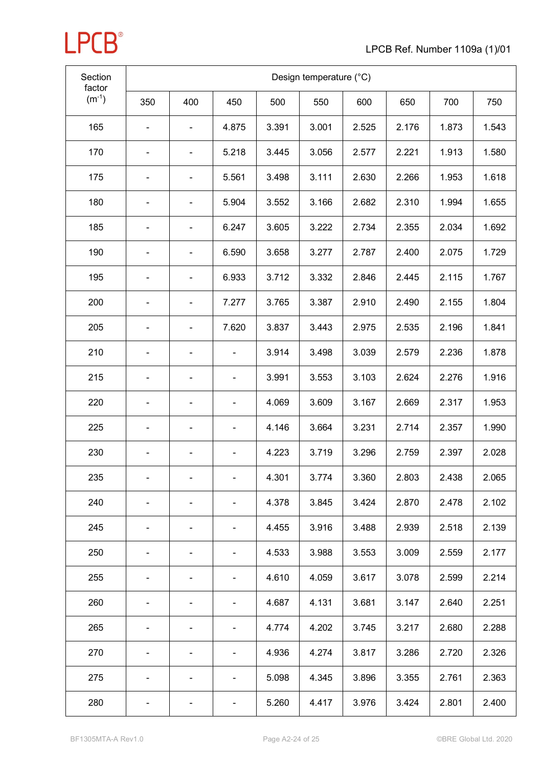

| Section<br>factor | Design temperature (°C) |                          |                              |       |       |       |       |       |       |  |  |  |
|-------------------|-------------------------|--------------------------|------------------------------|-------|-------|-------|-------|-------|-------|--|--|--|
| $(m^{-1})$        | 350                     | 400                      | 450                          | 500   | 550   | 600   | 650   | 700   | 750   |  |  |  |
| 165               |                         |                          | 4.875                        | 3.391 | 3.001 | 2.525 | 2.176 | 1.873 | 1.543 |  |  |  |
| 170               | -                       | -                        | 5.218                        | 3.445 | 3.056 | 2.577 | 2.221 | 1.913 | 1.580 |  |  |  |
| 175               |                         | -                        | 5.561                        | 3.498 | 3.111 | 2.630 | 2.266 | 1.953 | 1.618 |  |  |  |
| 180               |                         | ۰                        | 5.904                        | 3.552 | 3.166 | 2.682 | 2.310 | 1.994 | 1.655 |  |  |  |
| 185               |                         |                          | 6.247                        | 3.605 | 3.222 | 2.734 | 2.355 | 2.034 | 1.692 |  |  |  |
| 190               |                         | ۰                        | 6.590                        | 3.658 | 3.277 | 2.787 | 2.400 | 2.075 | 1.729 |  |  |  |
| 195               |                         | $\overline{\phantom{0}}$ | 6.933                        | 3.712 | 3.332 | 2.846 | 2.445 | 2.115 | 1.767 |  |  |  |
| 200               |                         |                          | 7.277                        | 3.765 | 3.387 | 2.910 | 2.490 | 2.155 | 1.804 |  |  |  |
| 205               | -                       | -                        | 7.620                        | 3.837 | 3.443 | 2.975 | 2.535 | 2.196 | 1.841 |  |  |  |
| 210               |                         |                          |                              | 3.914 | 3.498 | 3.039 | 2.579 | 2.236 | 1.878 |  |  |  |
| 215               |                         | $\blacksquare$           | $\blacksquare$               | 3.991 | 3.553 | 3.103 | 2.624 | 2.276 | 1.916 |  |  |  |
| 220               |                         |                          | ۰                            | 4.069 | 3.609 | 3.167 | 2.669 | 2.317 | 1.953 |  |  |  |
| 225               |                         |                          | $\qquad \qquad \blacksquare$ | 4.146 | 3.664 | 3.231 | 2.714 | 2.357 | 1.990 |  |  |  |
| 230               |                         | -                        | $\blacksquare$               | 4.223 | 3.719 | 3.296 | 2.759 | 2.397 | 2.028 |  |  |  |
| 235               |                         |                          | ۰                            | 4.301 | 3.774 | 3.360 | 2.803 | 2.438 | 2.065 |  |  |  |
| 240               |                         |                          |                              | 4.378 | 3.845 | 3.424 | 2.870 | 2.478 | 2.102 |  |  |  |
| 245               |                         |                          | ۰                            | 4.455 | 3.916 | 3.488 | 2.939 | 2.518 | 2.139 |  |  |  |
| 250               |                         |                          | $\blacksquare$               | 4.533 | 3.988 | 3.553 | 3.009 | 2.559 | 2.177 |  |  |  |
| 255               |                         | -                        | ۰                            | 4.610 | 4.059 | 3.617 | 3.078 | 2.599 | 2.214 |  |  |  |
| 260               |                         | -                        | $\blacksquare$               | 4.687 | 4.131 | 3.681 | 3.147 | 2.640 | 2.251 |  |  |  |
| 265               |                         | -                        | ۰                            | 4.774 | 4.202 | 3.745 | 3.217 | 2.680 | 2.288 |  |  |  |
| 270               |                         |                          | $\blacksquare$               | 4.936 | 4.274 | 3.817 | 3.286 | 2.720 | 2.326 |  |  |  |
| 275               |                         |                          | ۰                            | 5.098 | 4.345 | 3.896 | 3.355 | 2.761 | 2.363 |  |  |  |
| 280               |                         |                          | ۰                            | 5.260 | 4.417 | 3.976 | 3.424 | 2.801 | 2.400 |  |  |  |